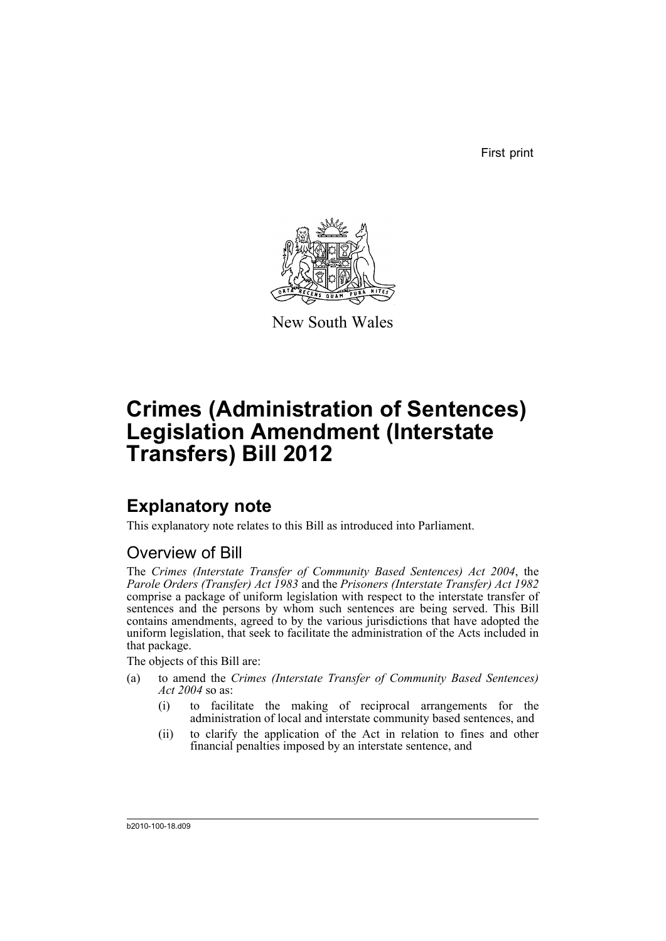First print



New South Wales

# **Crimes (Administration of Sentences) Legislation Amendment (Interstate Transfers) Bill 2012**

# **Explanatory note**

This explanatory note relates to this Bill as introduced into Parliament.

# Overview of Bill

The *Crimes (Interstate Transfer of Community Based Sentences) Act 2004*, the *Parole Orders (Transfer) Act 1983* and the *Prisoners (Interstate Transfer) Act 1982* comprise a package of uniform legislation with respect to the interstate transfer of sentences and the persons by whom such sentences are being served. This Bill contains amendments, agreed to by the various jurisdictions that have adopted the uniform legislation, that seek to facilitate the administration of the Acts included in that package.

The objects of this Bill are:

- (a) to amend the *Crimes (Interstate Transfer of Community Based Sentences) Act 2004* so as:
	- (i) to facilitate the making of reciprocal arrangements for the administration of local and interstate community based sentences, and
	- (ii) to clarify the application of the Act in relation to fines and other financial penalties imposed by an interstate sentence, and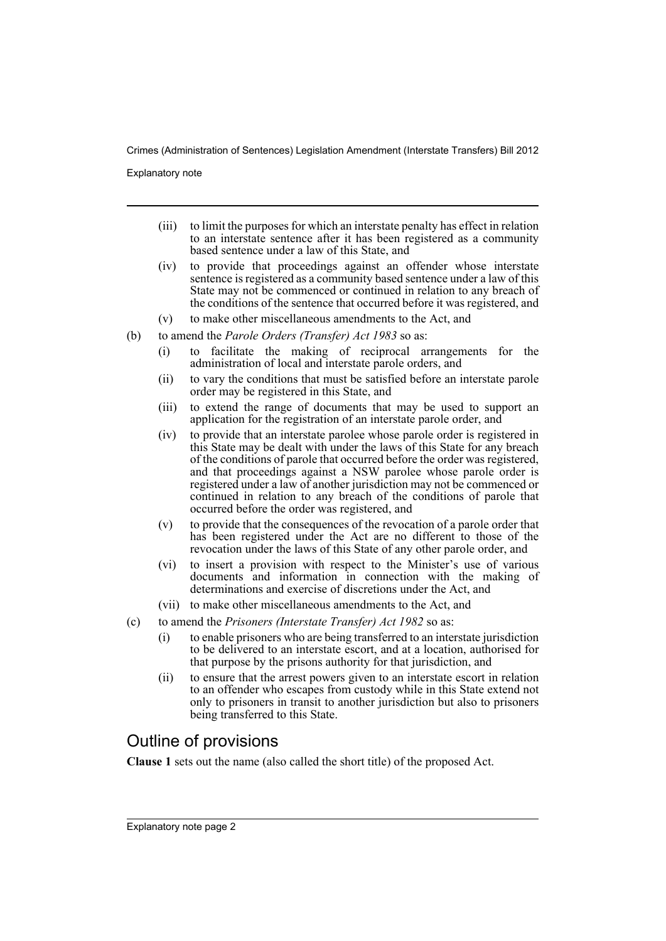Explanatory note

- (iii) to limit the purposes for which an interstate penalty has effect in relation to an interstate sentence after it has been registered as a community based sentence under a law of this State, and
- (iv) to provide that proceedings against an offender whose interstate sentence is registered as a community based sentence under a law of this State may not be commenced or continued in relation to any breach of the conditions of the sentence that occurred before it was registered, and
- (v) to make other miscellaneous amendments to the Act, and
- (b) to amend the *Parole Orders (Transfer) Act 1983* so as:
	- (i) to facilitate the making of reciprocal arrangements for the administration of local and interstate parole orders, and
	- (ii) to vary the conditions that must be satisfied before an interstate parole order may be registered in this State, and
	- (iii) to extend the range of documents that may be used to support an application for the registration of an interstate parole order, and
	- (iv) to provide that an interstate parolee whose parole order is registered in this State may be dealt with under the laws of this State for any breach of the conditions of parole that occurred before the order was registered, and that proceedings against a NSW parolee whose parole order is registered under a law of another jurisdiction may not be commenced or continued in relation to any breach of the conditions of parole that occurred before the order was registered, and
	- (v) to provide that the consequences of the revocation of a parole order that has been registered under the Act are no different to those of the revocation under the laws of this State of any other parole order, and
	- (vi) to insert a provision with respect to the Minister's use of various documents and information in connection with the making of determinations and exercise of discretions under the Act, and
	- (vii) to make other miscellaneous amendments to the Act, and
- (c) to amend the *Prisoners (Interstate Transfer) Act 1982* so as:
	- (i) to enable prisoners who are being transferred to an interstate jurisdiction to be delivered to an interstate escort, and at a location, authorised for that purpose by the prisons authority for that jurisdiction, and
	- (ii) to ensure that the arrest powers given to an interstate escort in relation to an offender who escapes from custody while in this State extend not only to prisoners in transit to another jurisdiction but also to prisoners being transferred to this State.

# Outline of provisions

**Clause 1** sets out the name (also called the short title) of the proposed Act.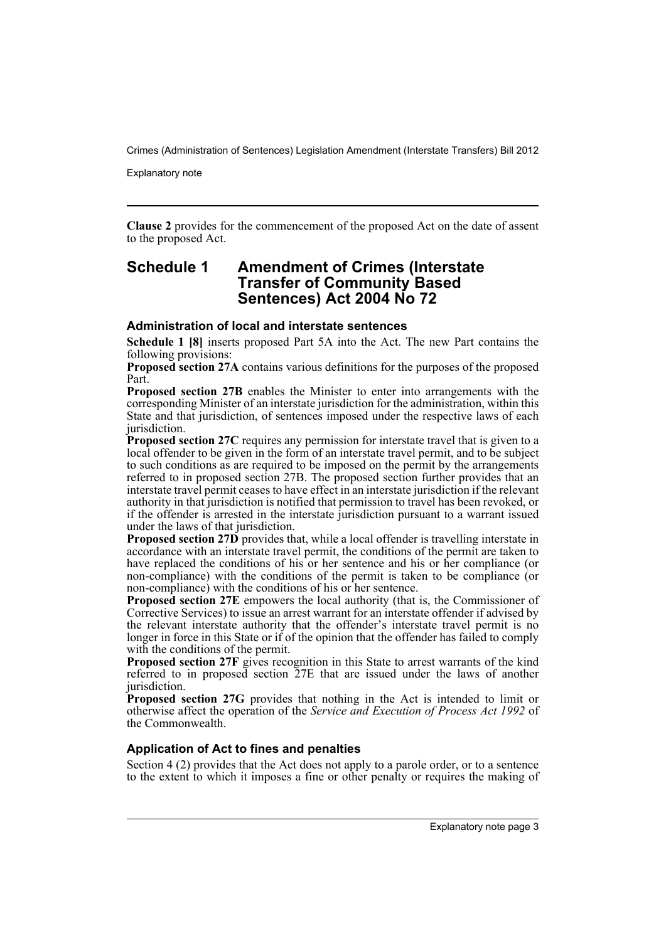Explanatory note

**Clause 2** provides for the commencement of the proposed Act on the date of assent to the proposed Act.

### **Schedule 1 Amendment of Crimes (Interstate Transfer of Community Based Sentences) Act 2004 No 72**

#### **Administration of local and interstate sentences**

**Schedule 1 [8]** inserts proposed Part 5A into the Act. The new Part contains the following provisions:

**Proposed section 27A** contains various definitions for the purposes of the proposed Part.

**Proposed section 27B** enables the Minister to enter into arrangements with the corresponding Minister of an interstate jurisdiction for the administration, within this State and that jurisdiction, of sentences imposed under the respective laws of each jurisdiction.

**Proposed section 27C** requires any permission for interstate travel that is given to a local offender to be given in the form of an interstate travel permit, and to be subject to such conditions as are required to be imposed on the permit by the arrangements referred to in proposed section 27B. The proposed section further provides that an interstate travel permit ceases to have effect in an interstate jurisdiction if the relevant authority in that jurisdiction is notified that permission to travel has been revoked, or if the offender is arrested in the interstate jurisdiction pursuant to a warrant issued under the laws of that jurisdiction.

**Proposed section 27D** provides that, while a local offender is travelling interstate in accordance with an interstate travel permit, the conditions of the permit are taken to have replaced the conditions of his or her sentence and his or her compliance (or non-compliance) with the conditions of the permit is taken to be compliance (or non-compliance) with the conditions of his or her sentence.

**Proposed section 27E** empowers the local authority (that is, the Commissioner of Corrective Services) to issue an arrest warrant for an interstate offender if advised by the relevant interstate authority that the offender's interstate travel permit is no longer in force in this State or if of the opinion that the offender has failed to comply with the conditions of the permit.

**Proposed section 27F** gives recognition in this State to arrest warrants of the kind referred to in proposed section 27E that are issued under the laws of another jurisdiction.

**Proposed section 27G** provides that nothing in the Act is intended to limit or otherwise affect the operation of the *Service and Execution of Process Act 1992* of the Commonwealth.

#### **Application of Act to fines and penalties**

Section 4 (2) provides that the Act does not apply to a parole order, or to a sentence to the extent to which it imposes a fine or other penalty or requires the making of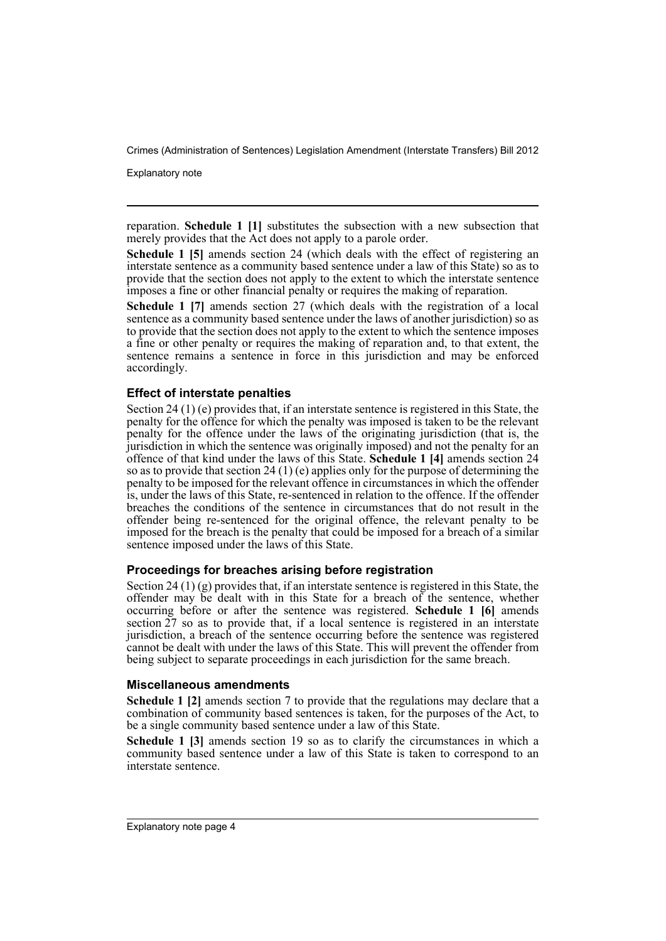Explanatory note

reparation. **Schedule 1 [1]** substitutes the subsection with a new subsection that merely provides that the Act does not apply to a parole order.

**Schedule 1 [5]** amends section 24 (which deals with the effect of registering an interstate sentence as a community based sentence under a law of this State) so as to provide that the section does not apply to the extent to which the interstate sentence imposes a fine or other financial penalty or requires the making of reparation.

**Schedule 1 [7]** amends section 27 (which deals with the registration of a local sentence as a community based sentence under the laws of another jurisdiction) so as to provide that the section does not apply to the extent to which the sentence imposes a fine or other penalty or requires the making of reparation and, to that extent, the sentence remains a sentence in force in this jurisdiction and may be enforced accordingly.

#### **Effect of interstate penalties**

Section 24 (1) (e) provides that, if an interstate sentence is registered in this State, the penalty for the offence for which the penalty was imposed is taken to be the relevant penalty for the offence under the laws of the originating jurisdiction (that is, the jurisdiction in which the sentence was originally imposed) and not the penalty for an offence of that kind under the laws of this State. **Schedule 1 [4]** amends section 24 so as to provide that section 24 (1) (e) applies only for the purpose of determining the penalty to be imposed for the relevant offence in circumstances in which the offender is, under the laws of this State, re-sentenced in relation to the offence. If the offender breaches the conditions of the sentence in circumstances that do not result in the offender being re-sentenced for the original offence, the relevant penalty to be imposed for the breach is the penalty that could be imposed for a breach of a similar sentence imposed under the laws of this State.

#### **Proceedings for breaches arising before registration**

Section 24 (1) (g) provides that, if an interstate sentence is registered in this State, the offender may be dealt with in this State for a breach of the sentence, whether occurring before or after the sentence was registered. **Schedule 1 [6]** amends section  $27$  so as to provide that, if a local sentence is registered in an interstate jurisdiction, a breach of the sentence occurring before the sentence was registered cannot be dealt with under the laws of this State. This will prevent the offender from being subject to separate proceedings in each jurisdiction for the same breach.

#### **Miscellaneous amendments**

**Schedule 1 [2]** amends section 7 to provide that the regulations may declare that a combination of community based sentences is taken, for the purposes of the Act, to be a single community based sentence under a law of this State.

**Schedule 1 [3]** amends section 19 so as to clarify the circumstances in which a community based sentence under a law of this State is taken to correspond to an interstate sentence.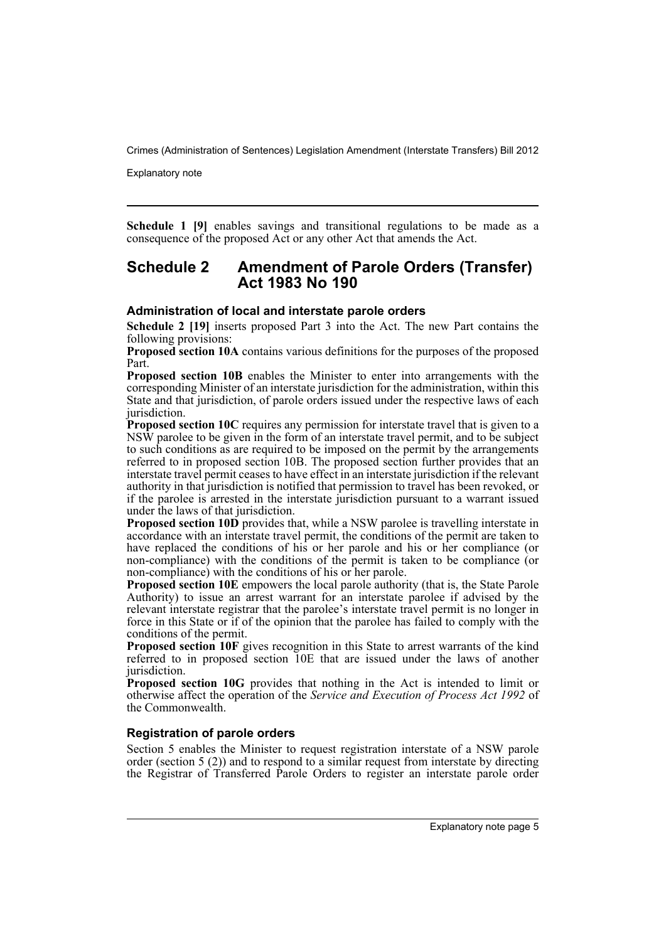Explanatory note

**Schedule 1 [9]** enables savings and transitional regulations to be made as a consequence of the proposed Act or any other Act that amends the Act.

### **Schedule 2 Amendment of Parole Orders (Transfer) Act 1983 No 190**

#### **Administration of local and interstate parole orders**

**Schedule 2 [19]** inserts proposed Part 3 into the Act. The new Part contains the following provisions:

**Proposed section 10A** contains various definitions for the purposes of the proposed Part.

**Proposed section 10B** enables the Minister to enter into arrangements with the corresponding Minister of an interstate jurisdiction for the administration, within this State and that jurisdiction, of parole orders issued under the respective laws of each jurisdiction.

**Proposed section 10C** requires any permission for interstate travel that is given to a NSW parolee to be given in the form of an interstate travel permit, and to be subject to such conditions as are required to be imposed on the permit by the arrangements referred to in proposed section 10B. The proposed section further provides that an interstate travel permit ceases to have effect in an interstate jurisdiction if the relevant authority in that jurisdiction is notified that permission to travel has been revoked, or if the parolee is arrested in the interstate jurisdiction pursuant to a warrant issued under the laws of that jurisdiction.

**Proposed section 10D** provides that, while a NSW parolee is travelling interstate in accordance with an interstate travel permit, the conditions of the permit are taken to have replaced the conditions of his or her parole and his or her compliance (or non-compliance) with the conditions of the permit is taken to be compliance (or non-compliance) with the conditions of his or her parole.

**Proposed section 10E** empowers the local parole authority (that is, the State Parole Authority) to issue an arrest warrant for an interstate parolee if advised by the relevant interstate registrar that the parolee's interstate travel permit is no longer in force in this State or if of the opinion that the parolee has failed to comply with the conditions of the permit.

**Proposed section 10F** gives recognition in this State to arrest warrants of the kind referred to in proposed section 10E that are issued under the laws of another jurisdiction.

**Proposed section 10G** provides that nothing in the Act is intended to limit or otherwise affect the operation of the *Service and Execution of Process Act 1992* of the Commonwealth.

### **Registration of parole orders**

Section 5 enables the Minister to request registration interstate of a NSW parole order (section 5 (2)) and to respond to a similar request from interstate by directing the Registrar of Transferred Parole Orders to register an interstate parole order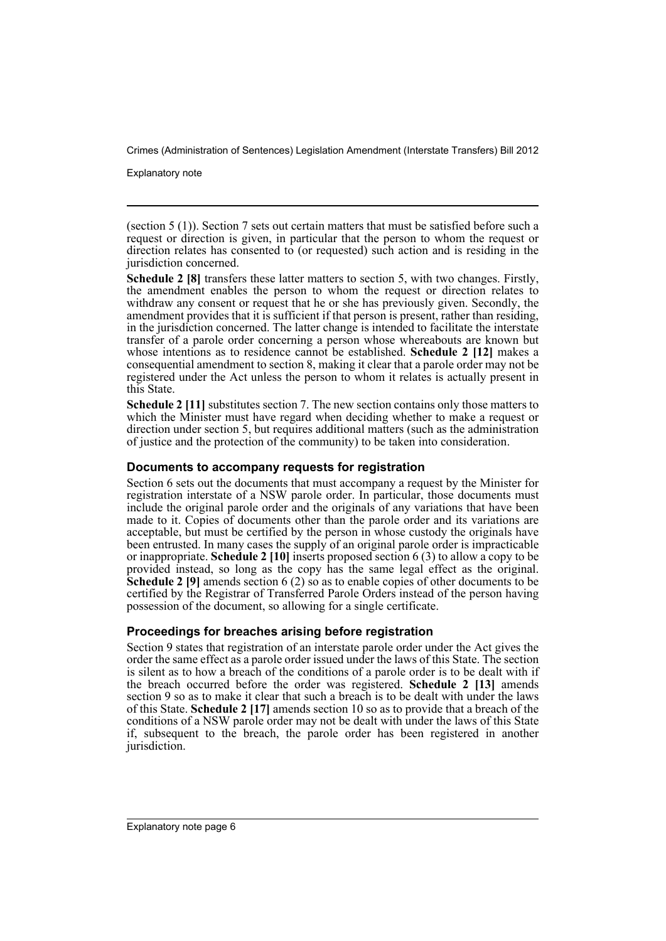Explanatory note

(section 5 (1)). Section 7 sets out certain matters that must be satisfied before such a request or direction is given, in particular that the person to whom the request or direction relates has consented to (or requested) such action and is residing in the jurisdiction concerned.

**Schedule 2 [8]** transfers these latter matters to section 5, with two changes. Firstly, the amendment enables the person to whom the request or direction relates to withdraw any consent or request that he or she has previously given. Secondly, the amendment provides that it is sufficient if that person is present, rather than residing, in the jurisdiction concerned. The latter change is intended to facilitate the interstate transfer of a parole order concerning a person whose whereabouts are known but whose intentions as to residence cannot be established. **Schedule 2** [12] makes a consequential amendment to section 8, making it clear that a parole order may not be registered under the Act unless the person to whom it relates is actually present in this State.

**Schedule 2 [11]** substitutes section 7. The new section contains only those matters to which the Minister must have regard when deciding whether to make a request or direction under section 5, but requires additional matters (such as the administration of justice and the protection of the community) to be taken into consideration.

#### **Documents to accompany requests for registration**

Section 6 sets out the documents that must accompany a request by the Minister for registration interstate of a NSW parole order. In particular, those documents must include the original parole order and the originals of any variations that have been made to it. Copies of documents other than the parole order and its variations are acceptable, but must be certified by the person in whose custody the originals have been entrusted. In many cases the supply of an original parole order is impracticable or inappropriate. **Schedule 2 [10]** inserts proposed section 6 (3) to allow a copy to be provided instead, so long as the copy has the same legal effect as the original. **Schedule 2 [9]** amends section 6 (2) so as to enable copies of other documents to be certified by the Registrar of Transferred Parole Orders instead of the person having possession of the document, so allowing for a single certificate.

### **Proceedings for breaches arising before registration**

Section 9 states that registration of an interstate parole order under the Act gives the order the same effect as a parole order issued under the laws of this State. The section is silent as to how a breach of the conditions of a parole order is to be dealt with if the breach occurred before the order was registered. **Schedule 2 [13]** amends section 9 so as to make it clear that such a breach is to be dealt with under the laws of this State. **Schedule 2 [17]** amends section 10 so as to provide that a breach of the conditions of a NSW parole order may not be dealt with under the laws of this State if, subsequent to the breach, the parole order has been registered in another jurisdiction.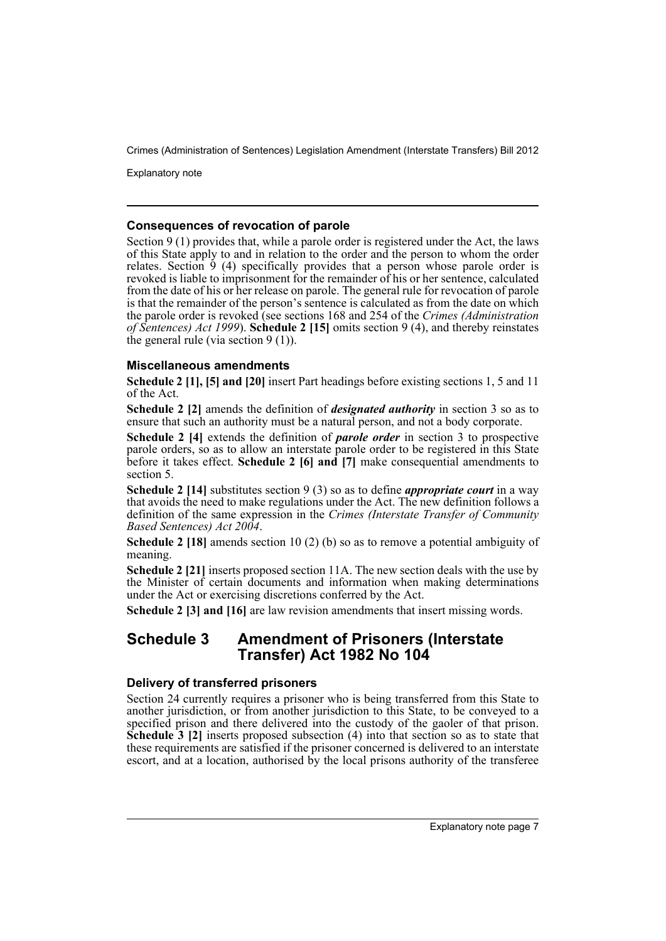Explanatory note

#### **Consequences of revocation of parole**

Section 9 (1) provides that, while a parole order is registered under the Act, the laws of this State apply to and in relation to the order and the person to whom the order relates. Section  $\frac{3}{7}$  (4) specifically provides that a person whose parole order is revoked is liable to imprisonment for the remainder of his or her sentence, calculated from the date of his or her release on parole. The general rule for revocation of parole is that the remainder of the person's sentence is calculated as from the date on which the parole order is revoked (see sections 168 and 254 of the *Crimes (Administration of Sentences) Act 1999*). **Schedule 2 [15]** omits section 9 (4), and thereby reinstates the general rule (via section 9 (1)).

#### **Miscellaneous amendments**

**Schedule 2 [1], [5] and [20]** insert Part headings before existing sections 1, 5 and 11 of the Act.

**Schedule 2 [2]** amends the definition of *designated authority* in section 3 so as to ensure that such an authority must be a natural person, and not a body corporate.

**Schedule 2 [4]** extends the definition of *parole order* in section 3 to prospective parole orders, so as to allow an interstate parole order to be registered in this State before it takes effect. **Schedule 2 [6] and [7]** make consequential amendments to section 5.

**Schedule 2 [14]** substitutes section 9 (3) so as to define *appropriate court* in a way that avoids the need to make regulations under the Act. The new definition follows a definition of the same expression in the *Crimes (Interstate Transfer of Community Based Sentences) Act 2004*.

**Schedule 2 [18]** amends section 10 (2) (b) so as to remove a potential ambiguity of meaning.

**Schedule 2 [21]** inserts proposed section 11A. The new section deals with the use by the Minister of certain documents and information when making determinations under the Act or exercising discretions conferred by the Act.

**Schedule 2 [3] and [16]** are law revision amendments that insert missing words.

## **Schedule 3 Amendment of Prisoners (Interstate Transfer) Act 1982 No 104**

#### **Delivery of transferred prisoners**

Section 24 currently requires a prisoner who is being transferred from this State to another jurisdiction, or from another jurisdiction to this State, to be conveyed to a specified prison and there delivered into the custody of the gaoler of that prison. **Schedule 3** [2] inserts proposed subsection (4) into that section so as to state that these requirements are satisfied if the prisoner concerned is delivered to an interstate escort, and at a location, authorised by the local prisons authority of the transferee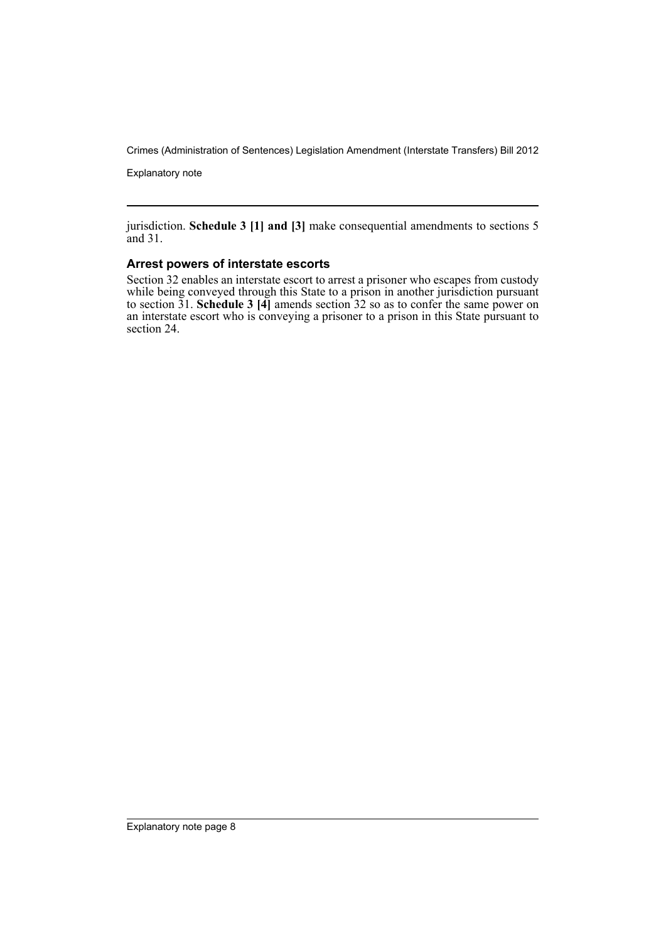Explanatory note

jurisdiction. **Schedule 3 [1] and [3]** make consequential amendments to sections 5 and 31.

#### **Arrest powers of interstate escorts**

Section 32 enables an interstate escort to arrest a prisoner who escapes from custody while being conveyed through this State to a prison in another jurisdiction pursuant to section 31. **Schedule 3 [4]** amends section 32 so as to confer the same power on an interstate escort who is conveying a prisoner to a prison in this State pursuant to section 24.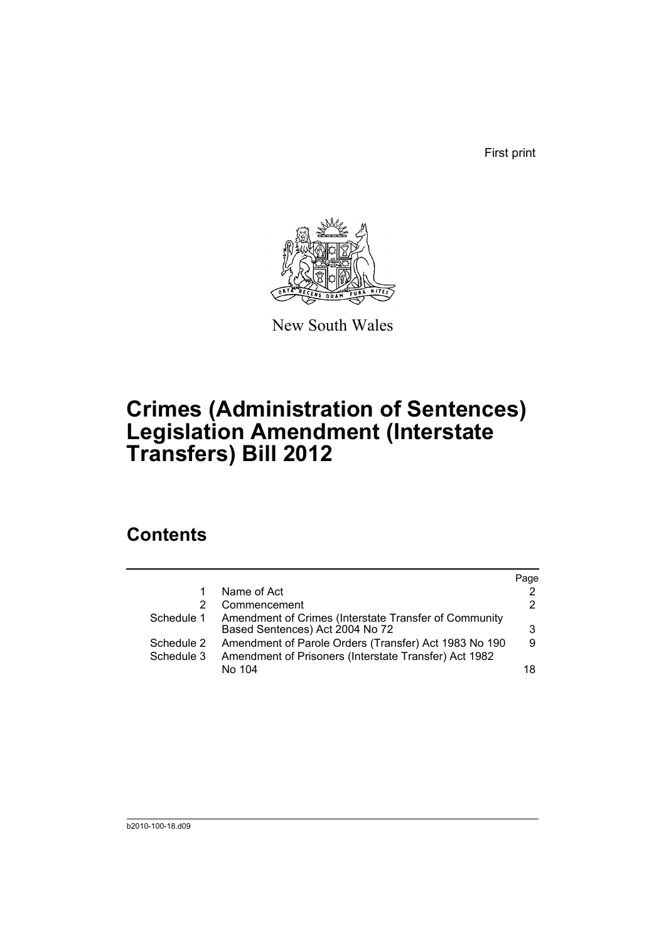First print



New South Wales

# **Crimes (Administration of Sentences) Legislation Amendment (Interstate Transfers) Bill 2012**

# **Contents**

|            |                                                       | Page          |
|------------|-------------------------------------------------------|---------------|
|            | Name of Act                                           | $\mathcal{P}$ |
|            | Commencement                                          | 2             |
| Schedule 1 | Amendment of Crimes (Interstate Transfer of Community |               |
|            | Based Sentences) Act 2004 No 72                       | 3             |
| Schedule 2 | Amendment of Parole Orders (Transfer) Act 1983 No 190 | 9             |
| Schedule 3 | Amendment of Prisoners (Interstate Transfer) Act 1982 |               |
|            | No 104                                                | 18            |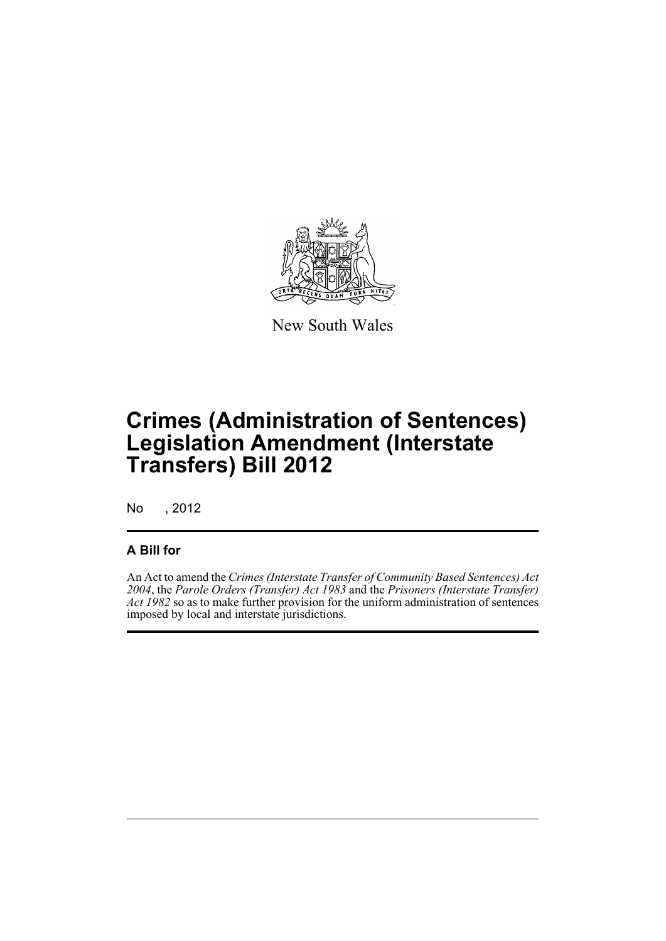

New South Wales

# **Crimes (Administration of Sentences) Legislation Amendment (Interstate Transfers) Bill 2012**

No , 2012

## **A Bill for**

An Act to amend the *Crimes (Interstate Transfer of Community Based Sentences) Act 2004*, the *Parole Orders (Transfer) Act 1983* and the *Prisoners (Interstate Transfer) Act 1982* so as to make further provision for the uniform administration of sentences imposed by local and interstate jurisdictions.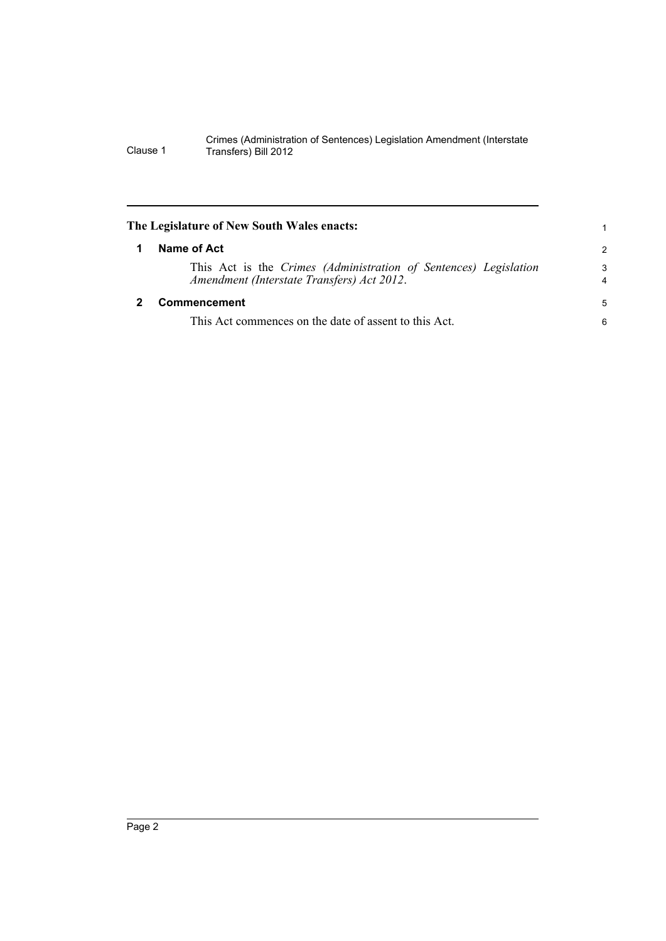<span id="page-11-1"></span><span id="page-11-0"></span>

| The Legislature of New South Wales enacts:                                                                     |                     |
|----------------------------------------------------------------------------------------------------------------|---------------------|
| Name of Act                                                                                                    | 2                   |
| This Act is the Crimes (Administration of Sentences) Legislation<br>Amendment (Interstate Transfers) Act 2012. | 3<br>$\overline{4}$ |
| <b>Commencement</b>                                                                                            | 5                   |
| This Act commences on the date of assent to this Act.                                                          | 6                   |
|                                                                                                                |                     |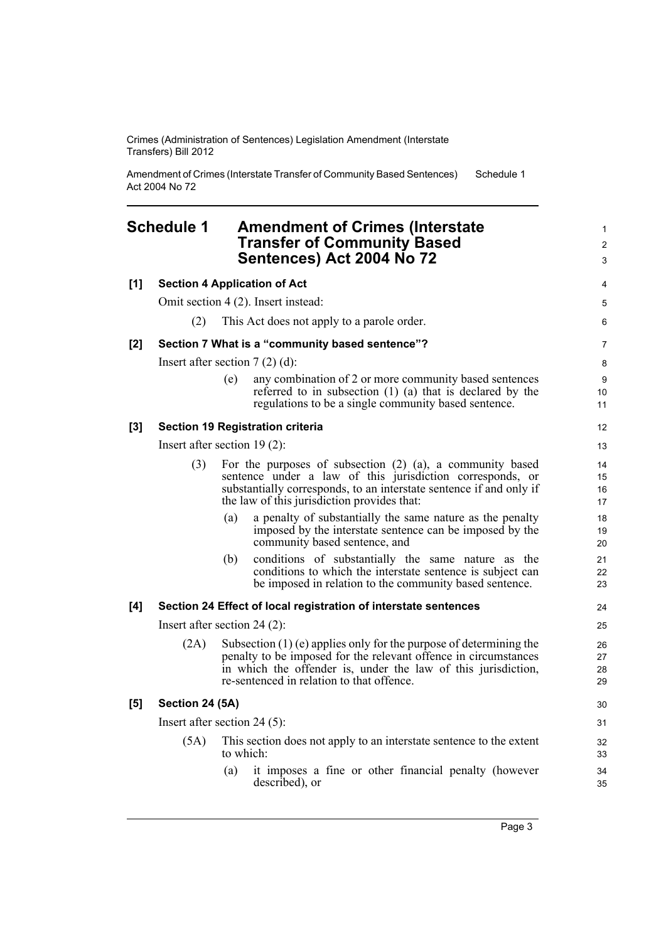Amendment of Crimes (Interstate Transfer of Community Based Sentences) Act 2004 No 72 Schedule 1

# <span id="page-12-0"></span>**Schedule 1 Amendment of Crimes (Interstate** <sup>1</sup> **Transfer of Community Based** <sup>2</sup>

|      | Sentences) Act 2004 No 72                                                                                                                                                                                                                             | 3                                                                                                                                                                                                                                                                                                                                                                                                         |
|------|-------------------------------------------------------------------------------------------------------------------------------------------------------------------------------------------------------------------------------------------------------|-----------------------------------------------------------------------------------------------------------------------------------------------------------------------------------------------------------------------------------------------------------------------------------------------------------------------------------------------------------------------------------------------------------|
|      |                                                                                                                                                                                                                                                       | 4                                                                                                                                                                                                                                                                                                                                                                                                         |
|      |                                                                                                                                                                                                                                                       | 5                                                                                                                                                                                                                                                                                                                                                                                                         |
| (2)  | This Act does not apply to a parole order.                                                                                                                                                                                                            | 6                                                                                                                                                                                                                                                                                                                                                                                                         |
|      |                                                                                                                                                                                                                                                       | 7                                                                                                                                                                                                                                                                                                                                                                                                         |
|      |                                                                                                                                                                                                                                                       | 8                                                                                                                                                                                                                                                                                                                                                                                                         |
|      | any combination of 2 or more community based sentences<br>(e)<br>referred to in subsection $(1)$ $(a)$ that is declared by the<br>regulations to be a single community based sentence.                                                                | 9<br>10<br>11                                                                                                                                                                                                                                                                                                                                                                                             |
|      |                                                                                                                                                                                                                                                       | 12                                                                                                                                                                                                                                                                                                                                                                                                        |
|      |                                                                                                                                                                                                                                                       | 13                                                                                                                                                                                                                                                                                                                                                                                                        |
| (3)  | For the purposes of subsection $(2)$ $(a)$ , a community based<br>sentence under a law of this jurisdiction corresponds, or<br>substantially corresponds, to an interstate sentence if and only if<br>the law of this jurisdiction provides that:     | 14<br>15<br>16<br>17                                                                                                                                                                                                                                                                                                                                                                                      |
|      | a penalty of substantially the same nature as the penalty<br>(a)<br>imposed by the interstate sentence can be imposed by the<br>community based sentence, and                                                                                         | 18<br>19<br>20                                                                                                                                                                                                                                                                                                                                                                                            |
|      | conditions of substantially the same nature as the<br>(b)<br>conditions to which the interstate sentence is subject can<br>be imposed in relation to the community based sentence.                                                                    | 21<br>22<br>23                                                                                                                                                                                                                                                                                                                                                                                            |
|      |                                                                                                                                                                                                                                                       | 24                                                                                                                                                                                                                                                                                                                                                                                                        |
|      |                                                                                                                                                                                                                                                       | 25                                                                                                                                                                                                                                                                                                                                                                                                        |
| (2A) | Subsection $(1)$ (e) applies only for the purpose of determining the<br>penalty to be imposed for the relevant offence in circumstances<br>in which the offender is, under the law of this jurisdiction,<br>re-sentenced in relation to that offence. | 26<br>27<br>28<br>29                                                                                                                                                                                                                                                                                                                                                                                      |
|      |                                                                                                                                                                                                                                                       | 30                                                                                                                                                                                                                                                                                                                                                                                                        |
|      |                                                                                                                                                                                                                                                       | 31                                                                                                                                                                                                                                                                                                                                                                                                        |
| (5A) | This section does not apply to an interstate sentence to the extent<br>to which:                                                                                                                                                                      | 32<br>33                                                                                                                                                                                                                                                                                                                                                                                                  |
|      | it imposes a fine or other financial penalty (however<br>(a)<br>described), or                                                                                                                                                                        | 34<br>35                                                                                                                                                                                                                                                                                                                                                                                                  |
|      |                                                                                                                                                                                                                                                       | <b>Section 4 Application of Act</b><br>Omit section 4 (2). Insert instead:<br>Section 7 What is a "community based sentence"?<br>Insert after section $7(2)(d)$ :<br><b>Section 19 Registration criteria</b><br>Insert after section $19(2)$ :<br>Section 24 Effect of local registration of interstate sentences<br>Insert after section $24(2)$ :<br>Section 24 (5A)<br>Insert after section 24 $(5)$ : |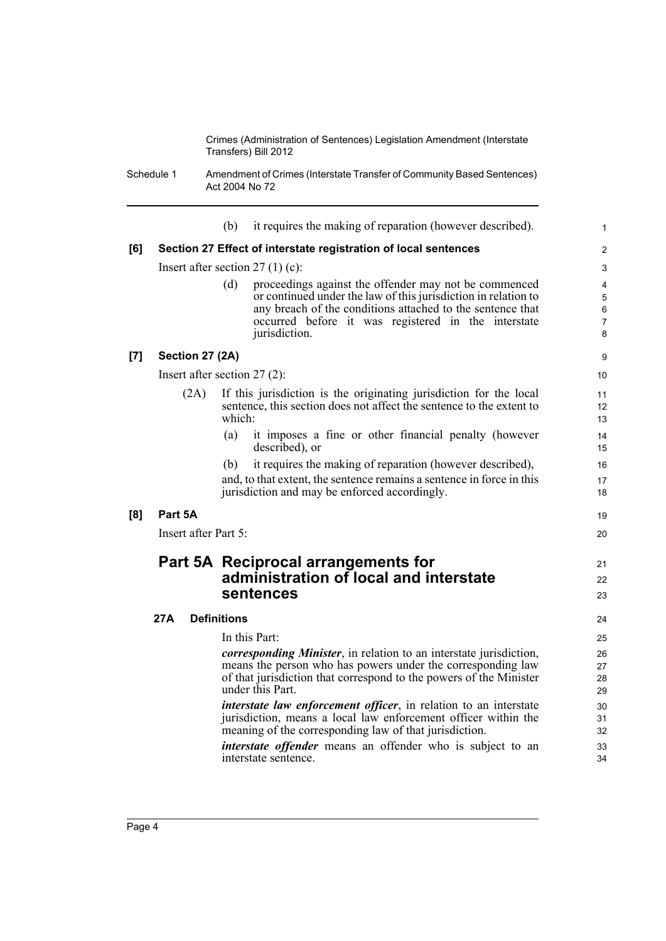Schedule 1 Amendment of Crimes (Interstate Transfer of Community Based Sentences) Act 2004 No 72

|     |                                   | (b)                | it requires the making of reparation (however described).                                                                    | 1              |
|-----|-----------------------------------|--------------------|------------------------------------------------------------------------------------------------------------------------------|----------------|
| [6] |                                   |                    | Section 27 Effect of interstate registration of local sentences                                                              | $\overline{2}$ |
|     | Insert after section $27(1)(c)$ : |                    |                                                                                                                              | 3              |
|     |                                   | (d)                | proceedings against the offender may not be commenced                                                                        | 4              |
|     |                                   |                    | or continued under the law of this jurisdiction in relation to<br>any breach of the conditions attached to the sentence that | 5<br>6         |
|     |                                   |                    | occurred before it was registered in the interstate                                                                          | 7              |
|     |                                   |                    | jurisdiction.                                                                                                                | 8              |
| [7] | Section 27 (2A)                   |                    |                                                                                                                              | 9              |
|     | Insert after section $27(2)$ :    |                    |                                                                                                                              | 10             |
|     | (2A)                              |                    | If this jurisdiction is the originating jurisdiction for the local                                                           | 11             |
|     |                                   | which:             | sentence, this section does not affect the sentence to the extent to                                                         | 12<br>13       |
|     |                                   | (a)                | it imposes a fine or other financial penalty (however                                                                        | 14             |
|     |                                   |                    | described), or                                                                                                               | 15             |
|     |                                   | (b)                | it requires the making of reparation (however described),                                                                    | 16             |
|     |                                   |                    | and, to that extent, the sentence remains a sentence in force in this                                                        | 17             |
|     |                                   |                    | jurisdiction and may be enforced accordingly.                                                                                | 18             |
| [8] | Part 5A                           |                    |                                                                                                                              | 19             |
|     | Insert after Part 5:              |                    |                                                                                                                              | 20             |
|     |                                   |                    | Part 5A Reciprocal arrangements for                                                                                          | 21             |
|     |                                   |                    | administration of local and interstate                                                                                       | 22             |
|     |                                   |                    | sentences                                                                                                                    | 23             |
|     | 27A                               | <b>Definitions</b> |                                                                                                                              | 24             |
|     |                                   |                    | In this Part:                                                                                                                | 25             |
|     |                                   |                    | <i>corresponding Minister</i> , in relation to an interstate jurisdiction,                                                   | 26             |
|     |                                   |                    | means the person who has powers under the corresponding law                                                                  | 27             |
|     |                                   |                    | of that jurisdiction that correspond to the powers of the Minister<br>under this Part.                                       | 28<br>29       |
|     |                                   |                    | <i>interstate law enforcement officer</i> , in relation to an interstate                                                     | 30             |
|     |                                   |                    | jurisdiction, means a local law enforcement officer within the                                                               | 31             |
|     |                                   |                    | meaning of the corresponding law of that jurisdiction.                                                                       | 32             |
|     |                                   |                    | interstate offender means an offender who is subject to an<br>interstate sentence.                                           | 33<br>34       |
|     |                                   |                    |                                                                                                                              |                |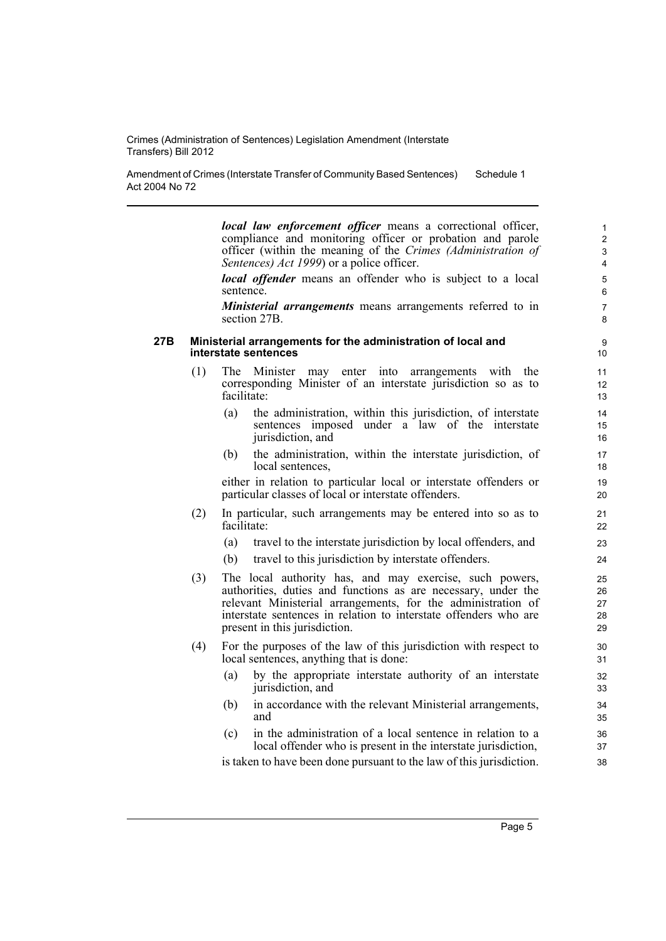Amendment of Crimes (Interstate Transfer of Community Based Sentences) Act 2004 No 72 Schedule 1

> *local law enforcement officer* means a correctional officer, compliance and monitoring officer or probation and parole officer (within the meaning of the *Crimes (Administration of Sentences) Act 1999*) or a police officer. 4

> *local offender* means an offender who is subject to a local sentence. 6

> *Ministerial arrangements* means arrangements referred to in section 27B. 8

#### **27B Ministerial arrangements for the administration of local and** 9 **interstate sentences** 10

- (1) The Minister may enter into arrangements with the 11 corresponding Minister of an interstate jurisdiction so as to facilitate: 13
	- (a) the administration, within this jurisdiction, of interstate 14 sentences imposed under a law of the interstate jurisdiction, and 16
	- (b) 17 the administration, within the interstate jurisdiction, of local sentences, 18

either in relation to particular local or interstate offenders or particular classes of local or interstate offenders. 20

- (2) In particular, such arrangements may be entered into so as to 21 facilitate: 22
	- (a) travel to the interstate jurisdiction by local offenders, and 23
	- (b) travel to this jurisdiction by interstate offenders. 24
- (3) The local authority has, and may exercise, such powers, 25 authorities, duties and functions as are necessary, under the relevant Ministerial arrangements, for the administration of interstate sentences in relation to interstate offenders who are present in this jurisdiction. 29
- (4) For the purposes of the law of this jurisdiction with respect to 30 local sentences, anything that is done: 31
	- (a) by the appropriate interstate authority of an interstate 32 jurisdiction, and 33
	- (b) in accordance with the relevant Ministerial arrangements, 34 and 35
	- (c) in the administration of a local sentence in relation to a 36 local offender who is present in the interstate jurisdiction,  $37$

is taken to have been done pursuant to the law of this jurisdiction. 38

3

2 1

5

7

12

15

19

28 27 26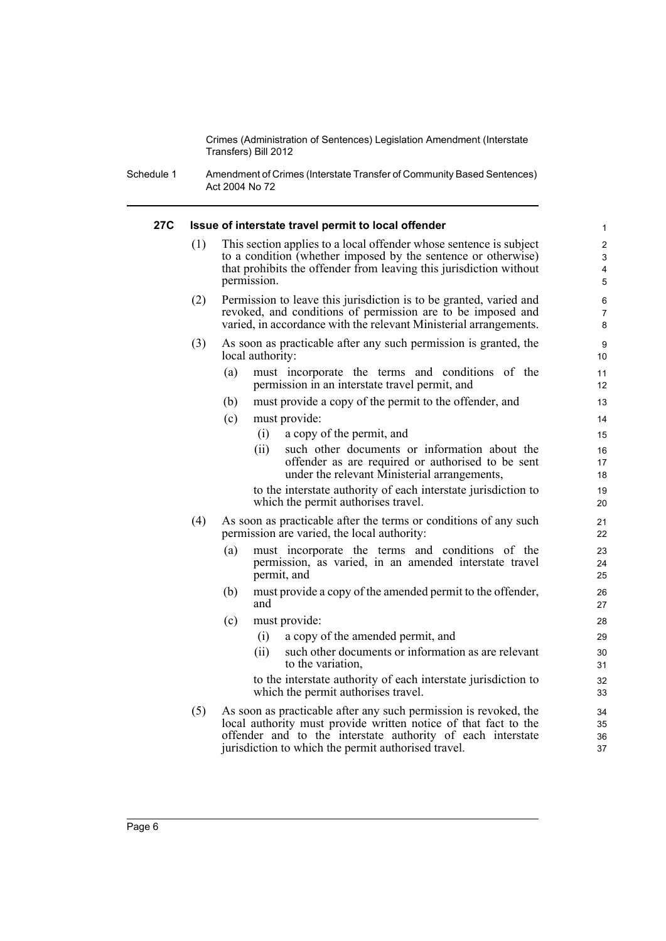Schedule 1 Amendment of Crimes (Interstate Transfer of Community Based Sentences) Act 2004 No 72

#### **27C Issue of interstate travel permit to local offender** 1

(1) This section applies to a local offender whose sentence is subject 2 to a condition (whether imposed by the sentence or otherwise) that prohibits the offender from leaving this jurisdiction without permission. 5

4 3

7

17

19

24

32

36 35

- (2) Permission to leave this jurisdiction is to be granted, varied and 6 revoked, and conditions of permission are to be imposed and varied, in accordance with the relevant Ministerial arrangements.
- (3) As soon as practicable after any such permission is granted, the 9 local authority: 10
	- (a) must incorporate the terms and conditions of the 11 permission in an interstate travel permit, and 12
	- (b) must provide a copy of the permit to the offender, and 13
	- (c) must provide: 14
		- (i) a copy of the permit, and 15
		- (ii) such other documents or information about the 16 offender as are required or authorised to be sent under the relevant Ministerial arrangements, 18

to the interstate authority of each interstate jurisdiction to which the permit authorises travel. 20

- (4) As soon as practicable after the terms or conditions of any such 21 permission are varied, the local authority: 22
	- (a) must incorporate the terms and conditions of the 23 permission, as varied, in an amended interstate travel permit, and 25
	- (b) must provide a copy of the amended permit to the offender, 26 and  $\sim$  27
	- (c) must provide: 28
		- (i) a copy of the amended permit, and 29
		- (ii) such other documents or information as are relevant 30 to the variation, 31

to the interstate authority of each interstate jurisdiction to which the permit authorises travel. 33

(5) As soon as practicable after any such permission is revoked, the  $34$ local authority must provide written notice of that fact to the offender and to the interstate authority of each interstate jurisdiction to which the permit authorised travel. 37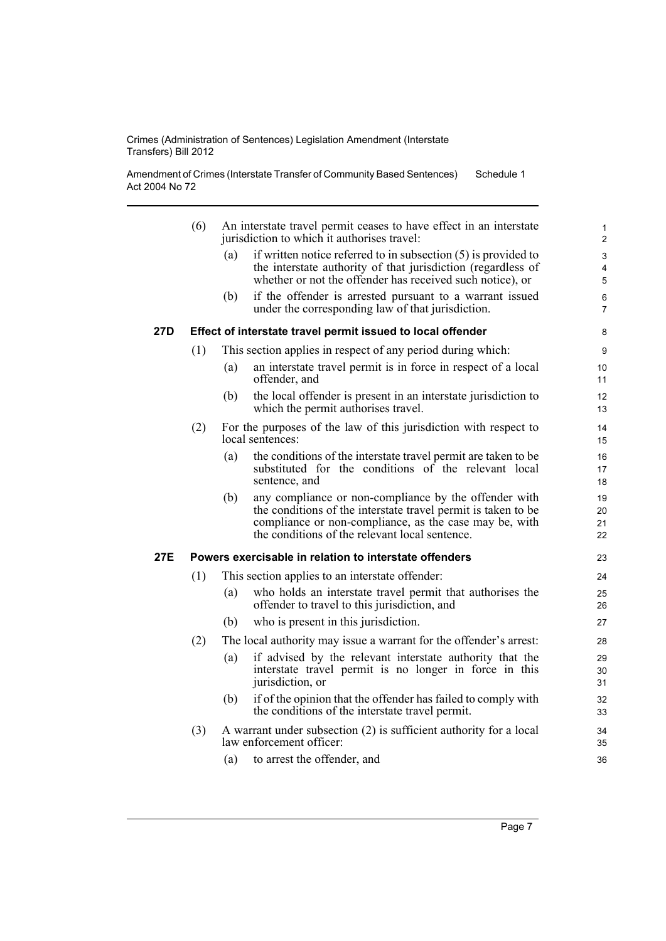Amendment of Crimes (Interstate Transfer of Community Based Sentences) Act 2004 No 72 Schedule 1

|     | (6) |     | An interstate travel permit ceases to have effect in an interstate<br>jurisdiction to which it authorises travel:                                                                                                                  | $\mathbf{1}$<br>$\overline{2}$ |
|-----|-----|-----|------------------------------------------------------------------------------------------------------------------------------------------------------------------------------------------------------------------------------------|--------------------------------|
|     |     | (a) | if written notice referred to in subsection $(5)$ is provided to                                                                                                                                                                   | 3                              |
|     |     |     | the interstate authority of that jurisdiction (regardless of                                                                                                                                                                       | 4                              |
|     |     |     | whether or not the offender has received such notice), or                                                                                                                                                                          | 5                              |
|     |     | (b) | if the offender is arrested pursuant to a warrant issued<br>under the corresponding law of that jurisdiction.                                                                                                                      | 6<br>$\overline{7}$            |
| 27D |     |     | Effect of interstate travel permit issued to local offender                                                                                                                                                                        | 8                              |
|     | (1) |     | This section applies in respect of any period during which:                                                                                                                                                                        | 9                              |
|     |     | (a) | an interstate travel permit is in force in respect of a local<br>offender, and                                                                                                                                                     | 10<br>11                       |
|     |     | (b) | the local offender is present in an interstate jurisdiction to<br>which the permit authorises travel.                                                                                                                              | 12<br>13                       |
|     | (2) |     | For the purposes of the law of this jurisdiction with respect to<br>local sentences:                                                                                                                                               | 14<br>15                       |
|     |     | (a) | the conditions of the interstate travel permit are taken to be<br>substituted for the conditions of the relevant local<br>sentence, and                                                                                            | 16<br>17<br>18                 |
|     |     | (b) | any compliance or non-compliance by the offender with<br>the conditions of the interstate travel permit is taken to be<br>compliance or non-compliance, as the case may be, with<br>the conditions of the relevant local sentence. | 19<br>20<br>21<br>22           |
| 27E |     |     | Powers exercisable in relation to interstate offenders                                                                                                                                                                             | 23                             |
|     | (1) |     | This section applies to an interstate offender:                                                                                                                                                                                    | 24                             |
|     |     | (a) | who holds an interstate travel permit that authorises the<br>offender to travel to this jurisdiction, and                                                                                                                          | 25<br>26                       |
|     |     | (b) | who is present in this jurisdiction.                                                                                                                                                                                               | 27                             |
|     | (2) |     | The local authority may issue a warrant for the offender's arrest:                                                                                                                                                                 | 28                             |
|     |     | (a) | if advised by the relevant interstate authority that the<br>interstate travel permit is no longer in force in this<br>jurisdiction, or                                                                                             | 29<br>30<br>31                 |
|     |     | (b) | if of the opinion that the offender has failed to comply with<br>the conditions of the interstate travel permit.                                                                                                                   | 32<br>33                       |
|     | (3) |     | A warrant under subsection (2) is sufficient authority for a local<br>law enforcement officer:                                                                                                                                     | 34<br>35                       |
|     |     | (a) | to arrest the offender, and                                                                                                                                                                                                        | 36                             |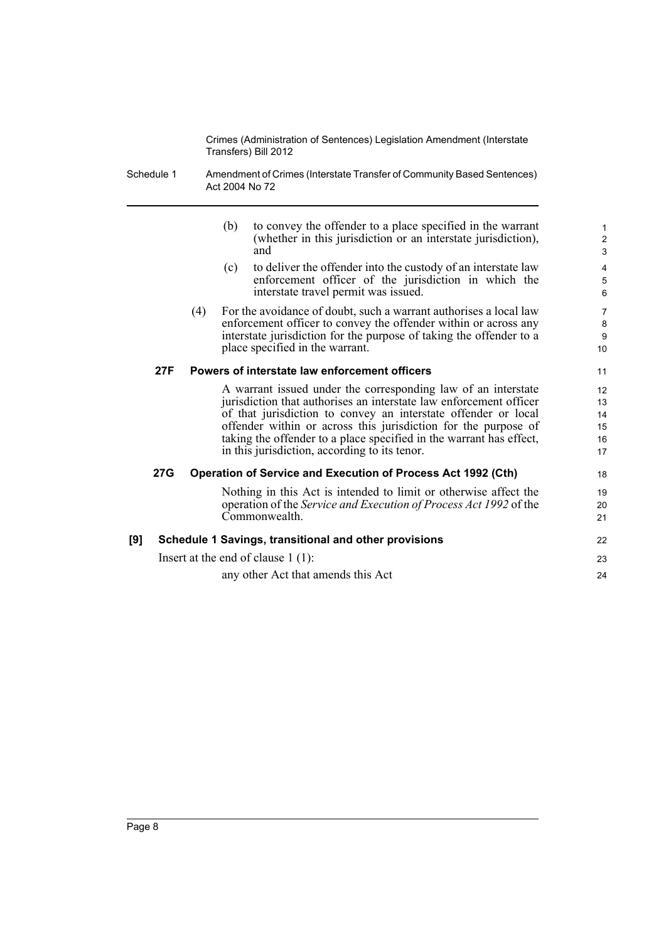Schedule 1 Amendment of Crimes (Interstate Transfer of Community Based Sentences) Act 2004 No 72

|     |            |     | (b) | to convey the offender to a place specified in the warrant<br>(whether in this jurisdiction or an interstate jurisdiction),<br>and                                                                                                                                                                                                                                                              | $\mathbf{1}$<br>$\overline{\mathbf{c}}$<br>3 |
|-----|------------|-----|-----|-------------------------------------------------------------------------------------------------------------------------------------------------------------------------------------------------------------------------------------------------------------------------------------------------------------------------------------------------------------------------------------------------|----------------------------------------------|
|     |            |     | (c) | to deliver the offender into the custody of an interstate law<br>enforcement officer of the jurisdiction in which the<br>interstate travel permit was issued.                                                                                                                                                                                                                                   | 4<br>5<br>6                                  |
|     |            | (4) |     | For the avoidance of doubt, such a warrant authorises a local law<br>enforcement officer to convey the offender within or across any<br>interstate jurisdiction for the purpose of taking the offender to a<br>place specified in the warrant.                                                                                                                                                  | $\overline{7}$<br>8<br>9<br>10               |
|     | 27F        |     |     | Powers of interstate law enforcement officers                                                                                                                                                                                                                                                                                                                                                   | 11                                           |
|     |            |     |     | A warrant issued under the corresponding law of an interstate<br>jurisdiction that authorises an interstate law enforcement officer<br>of that jurisdiction to convey an interstate offender or local<br>offender within or across this jurisdiction for the purpose of<br>taking the offender to a place specified in the warrant has effect,<br>in this jurisdiction, according to its tenor. | 12<br>13<br>14<br>15<br>16<br>17             |
|     | <b>27G</b> |     |     | <b>Operation of Service and Execution of Process Act 1992 (Cth)</b>                                                                                                                                                                                                                                                                                                                             | 18                                           |
|     |            |     |     | Nothing in this Act is intended to limit or otherwise affect the<br>operation of the Service and Execution of Process Act 1992 of the<br>Commonwealth.                                                                                                                                                                                                                                          | 19<br>20<br>21                               |
| [9] |            |     |     | Schedule 1 Savings, transitional and other provisions                                                                                                                                                                                                                                                                                                                                           | 22                                           |
|     |            |     |     | Insert at the end of clause $1(1)$ :                                                                                                                                                                                                                                                                                                                                                            | 23                                           |
|     |            |     |     | any other Act that amends this Act                                                                                                                                                                                                                                                                                                                                                              | 24                                           |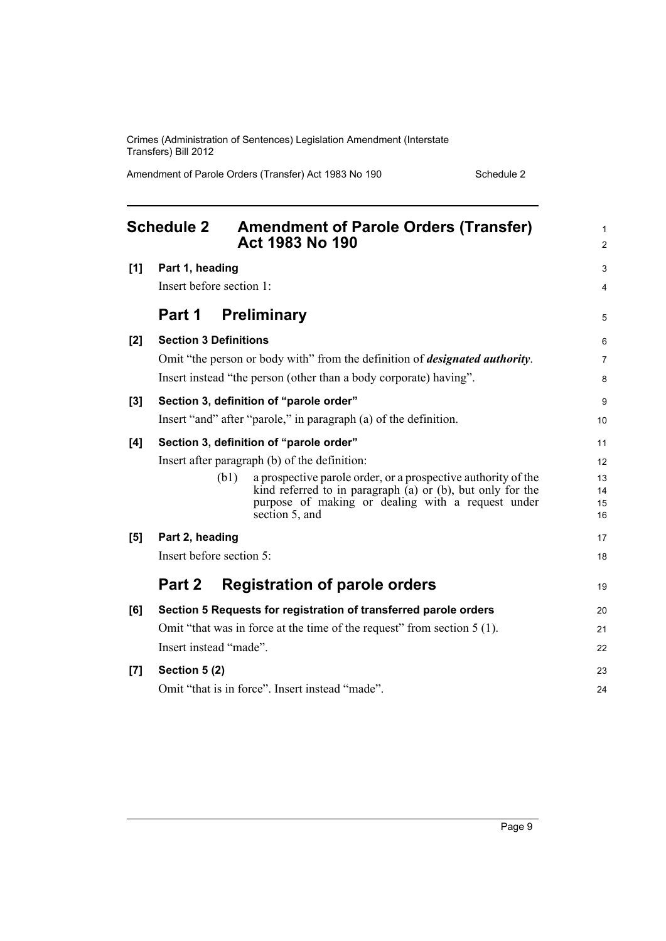Amendment of Parole Orders (Transfer) Act 1983 No 190 Schedule 2

<span id="page-18-0"></span>

|     | <b>Schedule 2</b>            | <b>Amendment of Parole Orders (Transfer)</b><br><b>Act 1983 No 190</b>                                                                 | 1<br>$\overline{2}$ |
|-----|------------------------------|----------------------------------------------------------------------------------------------------------------------------------------|---------------------|
| [1] | Part 1, heading              |                                                                                                                                        | 3                   |
|     | Insert before section 1:     |                                                                                                                                        | 4                   |
|     | Part 1                       | <b>Preliminary</b>                                                                                                                     | 5                   |
| [2] | <b>Section 3 Definitions</b> |                                                                                                                                        | 6                   |
|     |                              | Omit "the person or body with" from the definition of <i>designated authority</i> .                                                    | 7                   |
|     |                              | Insert instead "the person (other than a body corporate) having".                                                                      | 8                   |
| [3] |                              | Section 3, definition of "parole order"                                                                                                | 9                   |
|     |                              | Insert "and" after "parole," in paragraph (a) of the definition.                                                                       | 10                  |
| [4] |                              | Section 3, definition of "parole order"                                                                                                | 11                  |
|     |                              | Insert after paragraph (b) of the definition:                                                                                          | 12                  |
|     | (b1)                         | a prospective parole order, or a prospective authority of the                                                                          | 13                  |
|     |                              | kind referred to in paragraph $(a)$ or $(b)$ , but only for the<br>purpose of making or dealing with a request under<br>section 5, and | 14<br>15<br>16      |
| [5] | Part 2, heading              |                                                                                                                                        | 17                  |
|     | Insert before section 5:     |                                                                                                                                        | 18                  |
|     | Part 2                       | <b>Registration of parole orders</b>                                                                                                   | 19                  |
| [6] |                              | Section 5 Requests for registration of transferred parole orders                                                                       | 20                  |
|     |                              | Omit "that was in force at the time of the request" from section 5 (1).                                                                | 21                  |
|     | Insert instead "made".       |                                                                                                                                        | 22                  |
| [7] | Section 5 (2)                |                                                                                                                                        | 23                  |
|     |                              | Omit "that is in force". Insert instead "made".                                                                                        | 24                  |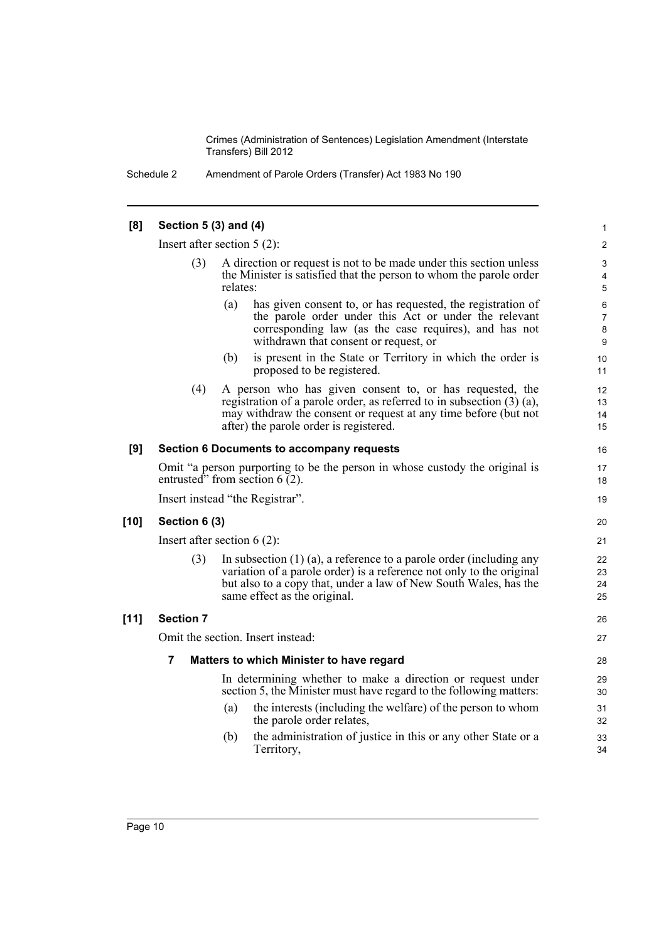Schedule 2 Amendment of Parole Orders (Transfer) Act 1983 No 190

| [8]    | Section 5 (3) and (4)                                                                                           |                                                                                                                                                                                                                                                      |                               |  |  |
|--------|-----------------------------------------------------------------------------------------------------------------|------------------------------------------------------------------------------------------------------------------------------------------------------------------------------------------------------------------------------------------------------|-------------------------------|--|--|
|        |                                                                                                                 | Insert after section $5(2)$ :                                                                                                                                                                                                                        | $\overline{c}$                |  |  |
|        | (3)                                                                                                             | A direction or request is not to be made under this section unless<br>the Minister is satisfied that the person to whom the parole order<br>relates:                                                                                                 |                               |  |  |
|        |                                                                                                                 | (a)<br>has given consent to, or has requested, the registration of<br>the parole order under this Act or under the relevant<br>corresponding law (as the case requires), and has not<br>withdrawn that consent or request, or                        | 6<br>$\overline{7}$<br>8<br>9 |  |  |
|        |                                                                                                                 | is present in the State or Territory in which the order is<br>(b)<br>proposed to be registered.                                                                                                                                                      | 10<br>11                      |  |  |
|        | (4)                                                                                                             | A person who has given consent to, or has requested, the<br>registration of a parole order, as referred to in subsection $(3)$ $(a)$ ,<br>may withdraw the consent or request at any time before (but not<br>after) the parole order is registered.  | 12<br>13<br>14<br>15          |  |  |
| [9]    | Section 6 Documents to accompany requests                                                                       |                                                                                                                                                                                                                                                      |                               |  |  |
|        | Omit "a person purporting to be the person in whose custody the original is<br>entrusted" from section $6(2)$ . |                                                                                                                                                                                                                                                      |                               |  |  |
|        |                                                                                                                 | Insert instead "the Registrar".                                                                                                                                                                                                                      | 19                            |  |  |
| [10]   | Section 6 (3)                                                                                                   |                                                                                                                                                                                                                                                      | 20                            |  |  |
|        |                                                                                                                 | Insert after section $6(2)$ :                                                                                                                                                                                                                        | 21                            |  |  |
|        | (3)                                                                                                             | In subsection $(1)$ $(a)$ , a reference to a parole order (including any<br>variation of a parole order) is a reference not only to the original<br>but also to a copy that, under a law of New South Wales, has the<br>same effect as the original. | 22<br>23<br>24<br>25          |  |  |
| $[11]$ | <b>Section 7</b>                                                                                                |                                                                                                                                                                                                                                                      | 26                            |  |  |
|        | Omit the section. Insert instead:                                                                               |                                                                                                                                                                                                                                                      |                               |  |  |
|        | 7                                                                                                               | Matters to which Minister to have regard                                                                                                                                                                                                             | 28                            |  |  |
|        |                                                                                                                 | In determining whether to make a direction or request under<br>section 5, the Minister must have regard to the following matters:                                                                                                                    | 29<br>30                      |  |  |

- (a) the interests (including the welfare) of the person to whom 31 the parole order relates, 32
- (b) the administration of justice in this or any other State or a 33 Territory, 34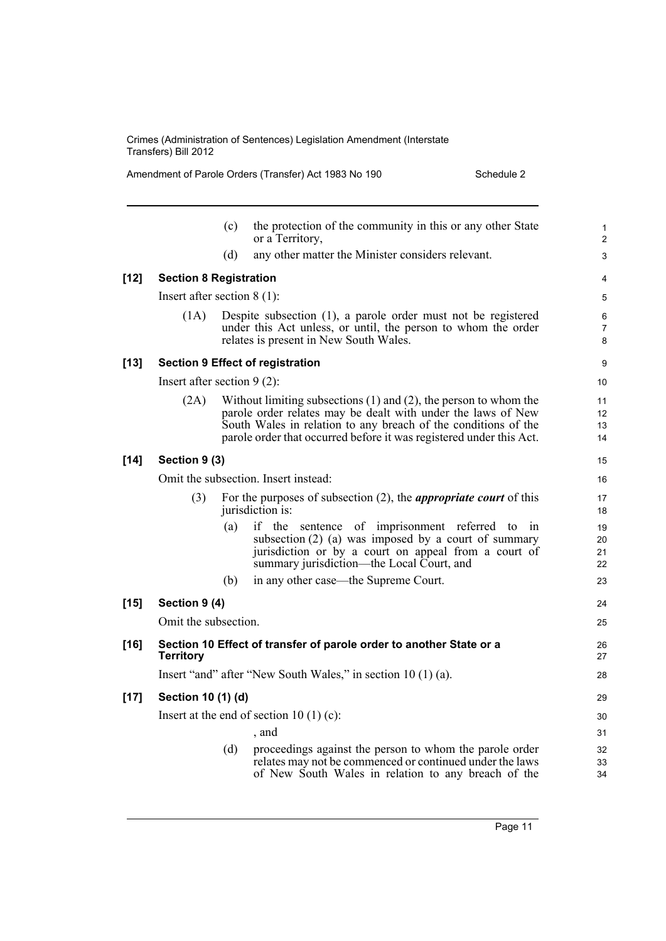Amendment of Parole Orders (Transfer) Act 1983 No 190 Schedule 2

|        |                               | (c) | the protection of the community in this or any other State<br>or a Territory,                                                                                                                                                                                                  | $\mathbf{1}$<br>$\overline{2}$ |
|--------|-------------------------------|-----|--------------------------------------------------------------------------------------------------------------------------------------------------------------------------------------------------------------------------------------------------------------------------------|--------------------------------|
|        |                               | (d) | any other matter the Minister considers relevant.                                                                                                                                                                                                                              | 3                              |
| $[12]$ | <b>Section 8 Registration</b> |     |                                                                                                                                                                                                                                                                                | 4                              |
|        | Insert after section $8(1)$ : |     |                                                                                                                                                                                                                                                                                | 5                              |
|        | (1A)                          |     | Despite subsection (1), a parole order must not be registered<br>under this Act unless, or until, the person to whom the order<br>relates is present in New South Wales.                                                                                                       | 6<br>$\overline{7}$<br>8       |
| [13]   |                               |     | <b>Section 9 Effect of registration</b>                                                                                                                                                                                                                                        | 9                              |
|        | Insert after section $9(2)$ : |     |                                                                                                                                                                                                                                                                                | 10                             |
|        | (2A)                          |     | Without limiting subsections $(1)$ and $(2)$ , the person to whom the<br>parole order relates may be dealt with under the laws of New<br>South Wales in relation to any breach of the conditions of the<br>parole order that occurred before it was registered under this Act. | 11<br>12<br>13<br>14           |
| $[14]$ | Section 9 (3)                 |     |                                                                                                                                                                                                                                                                                | 15                             |
|        |                               |     | Omit the subsection. Insert instead:                                                                                                                                                                                                                                           | 16                             |
|        | (3)                           |     | For the purposes of subsection $(2)$ , the <i>appropriate court</i> of this<br>jurisdiction is:                                                                                                                                                                                | 17<br>18                       |
|        |                               | (a) | if the sentence of imprisonment referred to<br>in<br>subsection $(2)$ (a) was imposed by a court of summary<br>jurisdiction or by a court on appeal from a court of<br>summary jurisdiction—the Local Court, and                                                               | 19<br>20<br>21<br>22           |
|        |                               | (b) | in any other case—the Supreme Court.                                                                                                                                                                                                                                           | 23                             |
| $[15]$ | Section 9 (4)                 |     |                                                                                                                                                                                                                                                                                | 24                             |
|        | Omit the subsection.          |     |                                                                                                                                                                                                                                                                                | 25                             |
| $[16]$ | <b>Territory</b>              |     | Section 10 Effect of transfer of parole order to another State or a                                                                                                                                                                                                            | 26<br>27                       |
|        |                               |     | Insert "and" after "New South Wales," in section 10 (1) (a).                                                                                                                                                                                                                   | 28                             |
| $[17]$ | Section 10 (1) (d)            |     |                                                                                                                                                                                                                                                                                | 29                             |
|        |                               |     | Insert at the end of section 10 (1) (c):                                                                                                                                                                                                                                       | 30                             |
|        |                               |     | , and                                                                                                                                                                                                                                                                          | 31                             |
|        |                               | (d) | proceedings against the person to whom the parole order<br>relates may not be commenced or continued under the laws<br>of New South Wales in relation to any breach of the                                                                                                     | 32<br>33<br>34                 |
|        |                               |     |                                                                                                                                                                                                                                                                                |                                |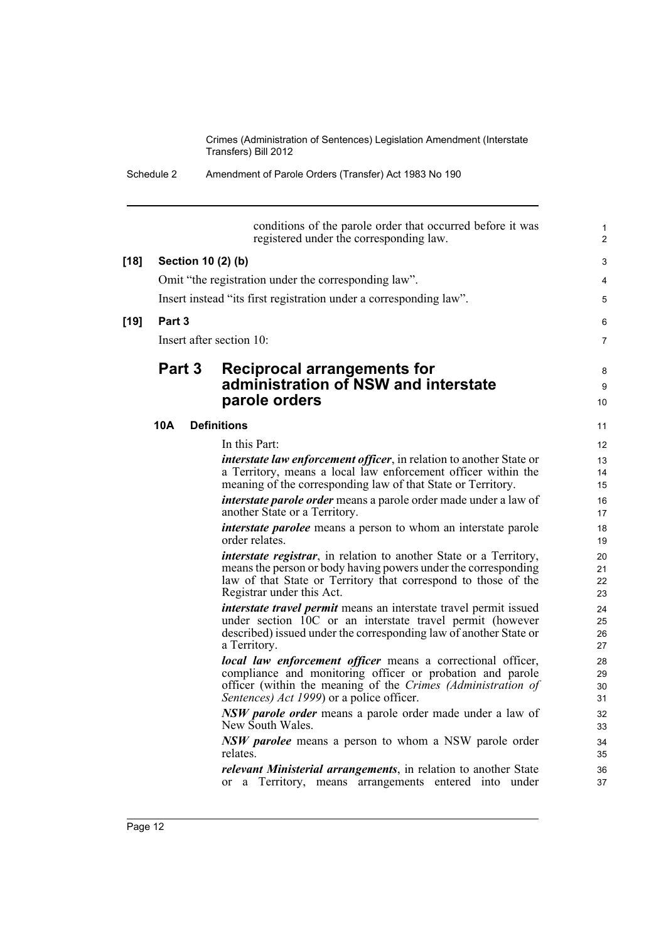Schedule 2 Amendment of Parole Orders (Transfer) Act 1983 No 190

conditions of the parole order that occurred before it was registered under the corresponding law.

# **[18] Section 10 (2) (b)** 3 Omit "the registration under the corresponding law". 4 Insert instead "its first registration under a corresponding law".

#### **[19] Part 3** 6

Insert after section 10: 7

### **Part 3 Reciprocal arrangements for Equation Assumes Arrangements of the Reciprocal arrangements for Arrangements of Arrangements of Arrangements and Arrangements of Arrangements and Arrangements of Arrangements and Arrang administration of NSW and interstate** <sup>9</sup> **parole orders** 10

#### **10A Definitions** 11

In this Part: 12 *interstate law enforcement officer*, in relation to another State or 13 a Territory, means a local law enforcement officer within the meaning of the corresponding law of that State or Territory.

*interstate parole order* means a parole order made under a law of another State or a Territory. 17

*interstate parolee* means a person to whom an interstate parole order relates. 19

*interstate registrar*, in relation to another State or a Territory, means the person or body having powers under the corresponding law of that State or Territory that correspond to those of the Registrar under this Act. 23

*interstate travel permit* means an interstate travel permit issued under section 10C or an interstate travel permit (however described) issued under the corresponding law of another State or a Territory. 27

*local law enforcement officer* means a correctional officer, compliance and monitoring officer or probation and parole officer (within the meaning of the *Crimes (Administration of Sentences) Act 1999*) or a police officer. 31

*NSW parole order* means a parole order made under a law of New South Wales. 33

*NSW parolee* means a person to whom a NSW parole order relates. 35

*relevant Ministerial arrangements*, in relation to another State or a Territory, means arrangements entered into under

30

32

34

37 36

1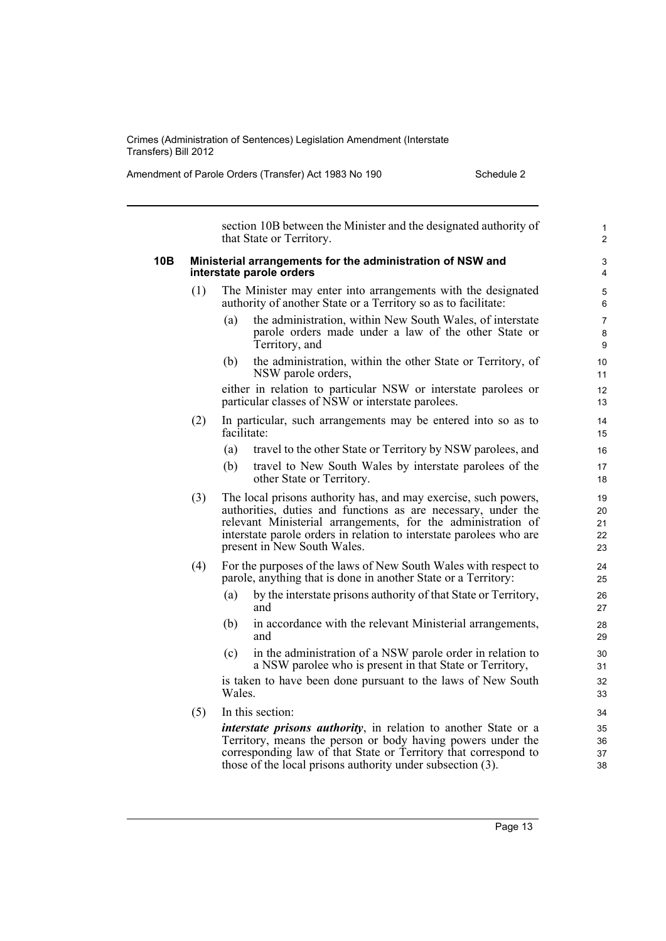Amendment of Parole Orders (Transfer) Act 1983 No 190 Schedule 2

1 section 10B between the Minister and the designated authority of that State or Territory. **10B Ministerial arrangements for the administration of NSW and** 3 **interstate parole orders** 4 (1) The Minister may enter into arrangements with the designated 5 authority of another State or a Territory so as to facilitate: 6 (a) 8 the administration, within New South Wales, of interstate 7 parole orders made under a law of the other State or Territory, and 9 (b) the administration, within the other State or Territory, of 10 12 NSW parole orders, 11 either in relation to particular NSW or interstate parolees or particular classes of NSW or interstate parolees. 13 (2) In particular, such arrangements may be entered into so as to 14 facilitate: 15 (a) travel to the other State or Territory by NSW parolees, and 16 (b) travel to New South Wales by interstate parolees of the 17 other State or Territory. 18 (3)  $22$ 21  $20$ The local prisons authority has, and may exercise, such powers, 19 authorities, duties and functions as are necessary, under the relevant Ministerial arrangements, for the administration of interstate parole orders in relation to interstate parolees who are present in New South Wales. 23 (4) For the purposes of the laws of New South Wales with respect to 24 parole, anything that is done in another State or a Territory: 25 (a) by the interstate prisons authority of that State or Territory, 26 and 27 (b) in accordance with the relevant Ministerial arrangements, 28 and 29 (c) in the administration of a NSW parole order in relation to 30 32 a NSW parolee who is present in that State or Territory, 31 is taken to have been done pursuant to the laws of New South Wales. Wales. 33 (5) In this section: 34 37 36 *interstate prisons authority*, in relation to another State or a 35 Territory, means the person or body having powers under the corresponding law of that State or Territory that correspond to those of the local prisons authority under subsection (3). 38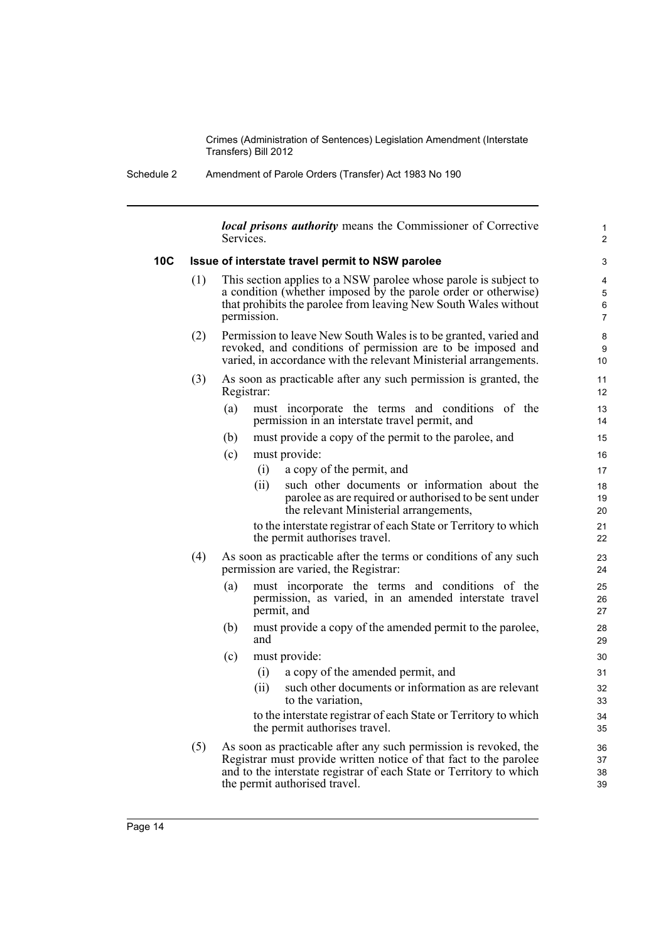Schedule 2 Amendment of Parole Orders (Transfer) Act 1983 No 190

*local prisons authority* means the Commissioner of Corrective Services.

1

6 5

9

19

21

26

34

38 37

#### **10C Issue of interstate travel permit to NSW parolee** 3

- (1) This section applies to a NSW parolee whose parole is subject to 4 a condition (whether imposed by the parole order or otherwise) that prohibits the parolee from leaving New South Wales without permission. 7
- (2) Permission to leave New South Wales is to be granted, varied and 8 revoked, and conditions of permission are to be imposed and varied, in accordance with the relevant Ministerial arrangements. 10
- (3) As soon as practicable after any such permission is granted, the 11 Registrar: 12
	- (a) must incorporate the terms and conditions of the 13 permission in an interstate travel permit, and 14
	- (b) must provide a copy of the permit to the parolee, and 15
	- (c) must provide: 16
		- (i) a copy of the permit, and 17
		- (ii) such other documents or information about the 18 parolee as are required or authorised to be sent under the relevant Ministerial arrangements, 20

to the interstate registrar of each State or Territory to which the permit authorises travel. 22

- (4) As soon as practicable after the terms or conditions of any such 23 permission are varied, the Registrar: 24
	- (a) must incorporate the terms and conditions of the 25 permission, as varied, in an amended interstate travel permit, and 27
	- (b) must provide a copy of the amended permit to the parolee, 28 and  $\sim$  29
	- (c) must provide: 30
		- (i) a copy of the amended permit, and 31
		- (ii) 32 such other documents or information as are relevant to the variation, 33

to the interstate registrar of each State or Territory to which the permit authorises travel. 35

(5) As soon as practicable after any such permission is revoked, the 36 Registrar must provide written notice of that fact to the parolee and to the interstate registrar of each State or Territory to which the permit authorised travel. 39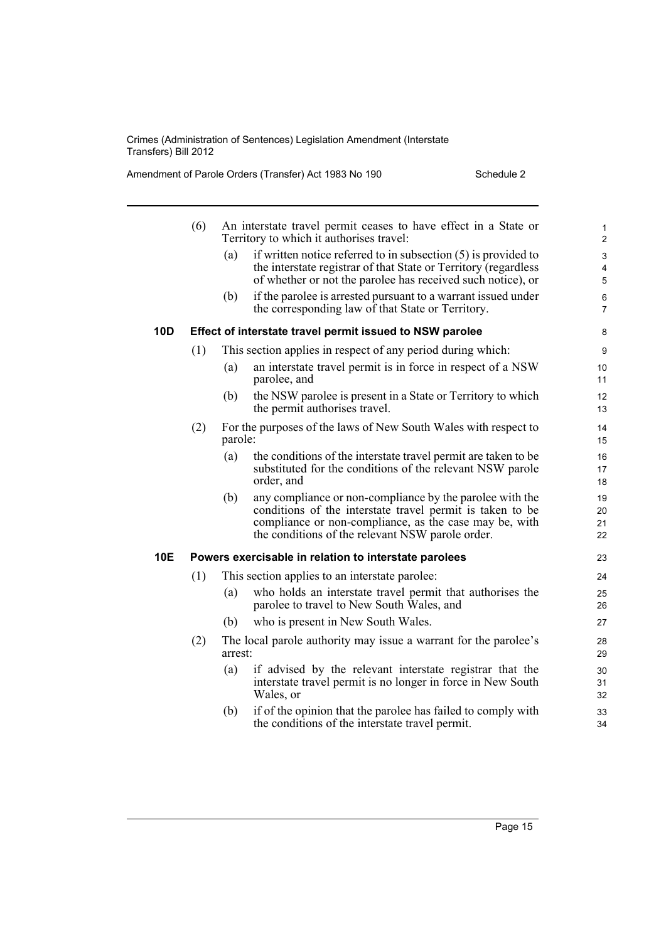Amendment of Parole Orders (Transfer) Act 1983 No 190 Schedule 2

|            | (6) |         | An interstate travel permit ceases to have effect in a State or<br>Territory to which it authorises travel:                                                                                                                         | $\mathbf{1}$<br>$\overline{2}$ |
|------------|-----|---------|-------------------------------------------------------------------------------------------------------------------------------------------------------------------------------------------------------------------------------------|--------------------------------|
|            |     | (a)     | if written notice referred to in subsection $(5)$ is provided to<br>the interstate registrar of that State or Territory (regardless<br>of whether or not the parolee has received such notice), or                                  | $\mathbf{3}$<br>4<br>5         |
|            |     | (b)     | if the parolee is arrested pursuant to a warrant issued under<br>the corresponding law of that State or Territory.                                                                                                                  | 6<br>$\overline{7}$            |
| <b>10D</b> |     |         | Effect of interstate travel permit issued to NSW parolee                                                                                                                                                                            | 8                              |
|            | (1) |         | This section applies in respect of any period during which:                                                                                                                                                                         | $\boldsymbol{9}$               |
|            |     | (a)     | an interstate travel permit is in force in respect of a NSW<br>parolee, and                                                                                                                                                         | 10<br>11                       |
|            |     | (b)     | the NSW parolee is present in a State or Territory to which<br>the permit authorises travel.                                                                                                                                        | 12<br>13                       |
|            | (2) | parole: | For the purposes of the laws of New South Wales with respect to                                                                                                                                                                     | 14<br>15                       |
|            |     | (a)     | the conditions of the interstate travel permit are taken to be<br>substituted for the conditions of the relevant NSW parole<br>order, and                                                                                           | 16<br>17<br>18                 |
|            |     | (b)     | any compliance or non-compliance by the parolee with the<br>conditions of the interstate travel permit is taken to be<br>compliance or non-compliance, as the case may be, with<br>the conditions of the relevant NSW parole order. | 19<br>20<br>21<br>22           |
| <b>10E</b> |     |         | Powers exercisable in relation to interstate parolees                                                                                                                                                                               | 23                             |
|            | (1) |         | This section applies to an interstate parolee:                                                                                                                                                                                      | 24                             |
|            |     | (a)     | who holds an interstate travel permit that authorises the<br>parolee to travel to New South Wales, and                                                                                                                              | 25<br>26                       |
|            |     | (b)     | who is present in New South Wales.                                                                                                                                                                                                  | 27                             |
|            | (2) | arrest: | The local parole authority may issue a warrant for the parolee's                                                                                                                                                                    | 28<br>29                       |
|            |     | (a)     | if advised by the relevant interstate registrar that the<br>interstate travel permit is no longer in force in New South<br>Wales, or                                                                                                | 30<br>31<br>32                 |
|            |     | (b)     | if of the opinion that the parolee has failed to comply with<br>the conditions of the interstate travel permit.                                                                                                                     | 33<br>34                       |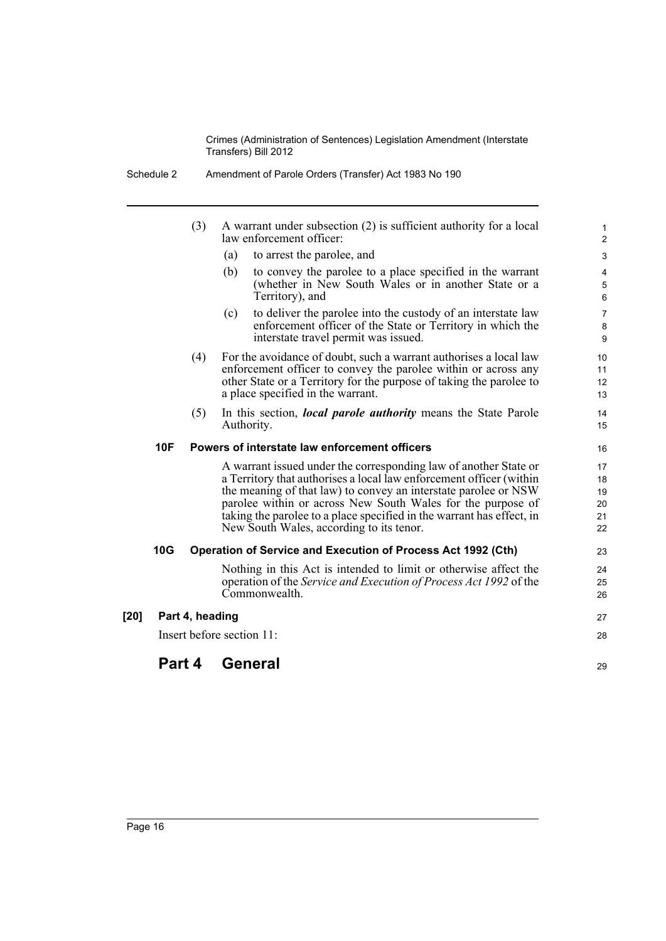- Schedule 2 Amendment of Parole Orders (Transfer) Act 1983 No 190
	- (3) A warrant under subsection (2) is sufficient authority for a local  $\frac{1}{1}$ law enforcement officer: 2
		- (a) to arrest the parolee, and 3
		- (b) to convey the parolee to a place specified in the warrant 4 (whether in New South Wales or in another State or a Territory), and 6

5

8

12 11

25

- (c) to deliver the parolee into the custody of an interstate law 7 enforcement officer of the State or Territory in which the interstate travel permit was issued. 9
- (4) For the avoidance of doubt, such a warrant authorises a local law 10 enforcement officer to convey the parolee within or across any other State or a Territory for the purpose of taking the parolee to a place specified in the warrant. 13
- (5) In this section, *local parole authority* means the State Parole 14 Authority. 15

#### **10F Powers of interstate law enforcement officers** 16

A warrant issued under the corresponding law of another State or 17 a Territory that authorises a local law enforcement officer (within the meaning of that law) to convey an interstate parolee or NSW parolee within or across New South Wales for the purpose of taking the parolee to a place specified in the warrant has effect, in New South Wales, according to its tenor. 22

#### **10G Operation of Service and Execution of Process Act 1992 (Cth)** 23

Nothing in this Act is intended to limit or otherwise affect the 24 operation of the *Service and Execution of Process Act 1992* of the Commonwealth. 26

| [20] | Part 4, heading           | 27 |
|------|---------------------------|----|
|      | Insert before section 11: | 28 |
|      | Part 4 General            | 29 |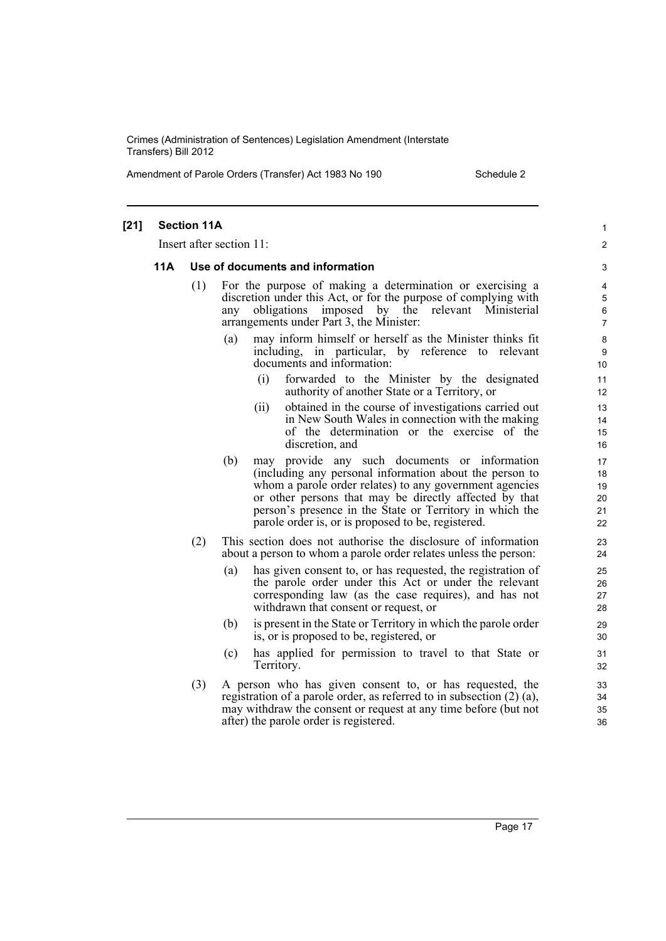Amendment of Parole Orders (Transfer) Act 1983 No 190 Schedule 2

|      | <b>Section 11A</b> | Insert after section 11:                                                                                                                                                                                                                                                                                                                               |  |
|------|--------------------|--------------------------------------------------------------------------------------------------------------------------------------------------------------------------------------------------------------------------------------------------------------------------------------------------------------------------------------------------------|--|
|      |                    |                                                                                                                                                                                                                                                                                                                                                        |  |
| 11 A |                    | Use of documents and information                                                                                                                                                                                                                                                                                                                       |  |
|      | (1)                | For the purpose of making a determination or exercising a<br>discretion under this Act, or for the purpose of complying with<br>obligations imposed by the relevant Ministerial<br>any<br>arrangements under Part 3, the Minister:                                                                                                                     |  |
|      |                    | may inform himself or herself as the Minister thinks fit<br>(a)<br>including, in particular, by reference to relevant<br>documents and information:                                                                                                                                                                                                    |  |
|      |                    | forwarded to the Minister by the designated<br>(i)<br>authority of another State or a Territory, or                                                                                                                                                                                                                                                    |  |
|      |                    | obtained in the course of investigations carried out<br>(ii)<br>in New South Wales in connection with the making<br>of the determination or the exercise of the<br>discretion, and                                                                                                                                                                     |  |
|      |                    | may provide any such documents or information<br>(b)<br>(including any personal information about the person to<br>whom a parole order relates) to any government agencies<br>or other persons that may be directly affected by that<br>person's presence in the State or Territory in which the<br>parole order is, or is proposed to be, registered. |  |
|      | (2)                | This section does not authorise the disclosure of information<br>about a person to whom a parole order relates unless the person:                                                                                                                                                                                                                      |  |
|      |                    | (a)<br>has given consent to, or has requested, the registration of<br>the parole order under this Act or under the relevant<br>corresponding law (as the case requires), and has not<br>withdrawn that consent or request, or                                                                                                                          |  |
|      |                    | is present in the State or Territory in which the parole order<br>(b)<br>is, or is proposed to be, registered, or                                                                                                                                                                                                                                      |  |
|      |                    | has applied for permission to travel to that State or<br>(c)<br>Territory.                                                                                                                                                                                                                                                                             |  |
|      | (3)                | A person who has given consent to, or has requested, the<br>registration of a parole order, as referred to in subsection $(2)$ $(a)$ ,<br>may withdraw the consent or request at any time before (but not<br>after) the parole order is registered.                                                                                                    |  |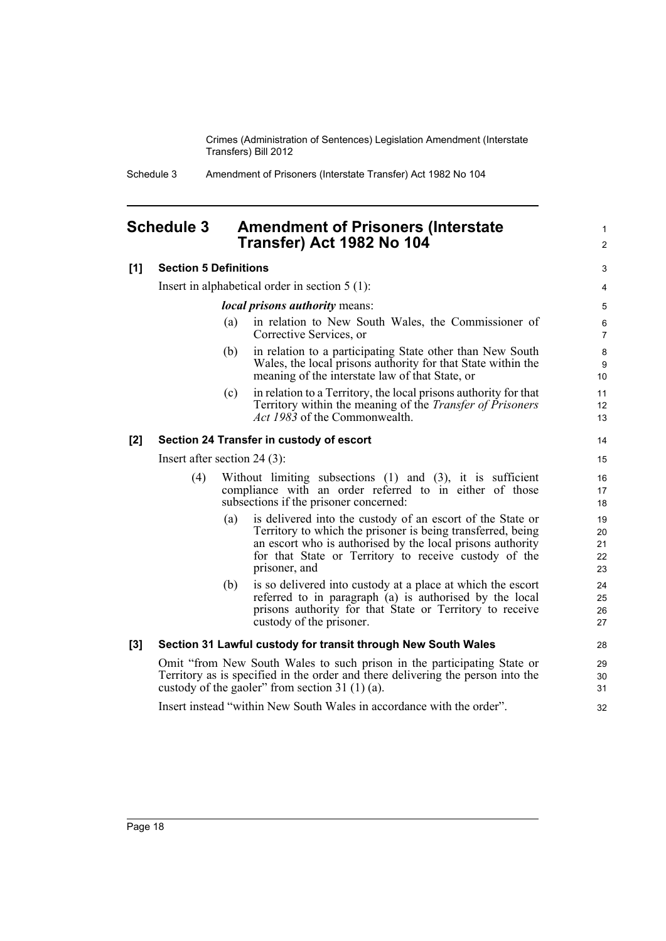Schedule 3 Amendment of Prisoners (Interstate Transfer) Act 1982 No 104

## <span id="page-27-0"></span>**Schedule 3 Amendment of Prisoners (Interstate** <sup>1</sup> **Transfer) Act 1982 No 104** <sup>2</sup>

| [1] | <b>Section 5 Definitions</b>                                                                                                                                                                                    |                                                                                                                                                                      |                                                                                                                                                                                                                                                                   |                            |  |
|-----|-----------------------------------------------------------------------------------------------------------------------------------------------------------------------------------------------------------------|----------------------------------------------------------------------------------------------------------------------------------------------------------------------|-------------------------------------------------------------------------------------------------------------------------------------------------------------------------------------------------------------------------------------------------------------------|----------------------------|--|
|     | Insert in alphabetical order in section $5(1)$ :                                                                                                                                                                |                                                                                                                                                                      |                                                                                                                                                                                                                                                                   |                            |  |
|     | <i>local prisons authority means:</i>                                                                                                                                                                           |                                                                                                                                                                      |                                                                                                                                                                                                                                                                   | 5                          |  |
|     |                                                                                                                                                                                                                 | (a)                                                                                                                                                                  | in relation to New South Wales, the Commissioner of<br>Corrective Services, or                                                                                                                                                                                    | 6<br>7                     |  |
|     |                                                                                                                                                                                                                 | (b)                                                                                                                                                                  | in relation to a participating State other than New South<br>Wales, the local prisons authority for that State within the<br>meaning of the interstate law of that State, or                                                                                      | 8<br>9<br>10               |  |
|     |                                                                                                                                                                                                                 | (c)                                                                                                                                                                  | in relation to a Territory, the local prisons authority for that<br>Territory within the meaning of the <i>Transfer of Prisoners</i><br>Act 1983 of the Commonwealth.                                                                                             | 11<br>12<br>13             |  |
| [2] | Section 24 Transfer in custody of escort                                                                                                                                                                        |                                                                                                                                                                      |                                                                                                                                                                                                                                                                   |                            |  |
|     | Insert after section 24 $(3)$ :                                                                                                                                                                                 |                                                                                                                                                                      |                                                                                                                                                                                                                                                                   |                            |  |
|     | (4)                                                                                                                                                                                                             | Without limiting subsections $(1)$ and $(3)$ , it is sufficient<br>compliance with an order referred to in either of those<br>subsections if the prisoner concerned: |                                                                                                                                                                                                                                                                   |                            |  |
|     |                                                                                                                                                                                                                 | (a)                                                                                                                                                                  | is delivered into the custody of an escort of the State or<br>Territory to which the prisoner is being transferred, being<br>an escort who is authorised by the local prisons authority<br>for that State or Territory to receive custody of the<br>prisoner, and | 19<br>20<br>21<br>22<br>23 |  |
|     |                                                                                                                                                                                                                 | (b)                                                                                                                                                                  | is so delivered into custody at a place at which the escort<br>referred to in paragraph (a) is authorised by the local<br>prisons authority for that State or Territory to receive<br>custody of the prisoner.                                                    | 24<br>25<br>26<br>27       |  |
| [3] | Section 31 Lawful custody for transit through New South Wales                                                                                                                                                   |                                                                                                                                                                      |                                                                                                                                                                                                                                                                   |                            |  |
|     | Omit "from New South Wales to such prison in the participating State or<br>Territory as is specified in the order and there delivering the person into the<br>custody of the gaoler" from section 31 $(1)(a)$ . |                                                                                                                                                                      |                                                                                                                                                                                                                                                                   |                            |  |
|     |                                                                                                                                                                                                                 |                                                                                                                                                                      | Insert instead "within New South Wales in accordance with the order".                                                                                                                                                                                             | 32                         |  |
|     |                                                                                                                                                                                                                 |                                                                                                                                                                      |                                                                                                                                                                                                                                                                   |                            |  |